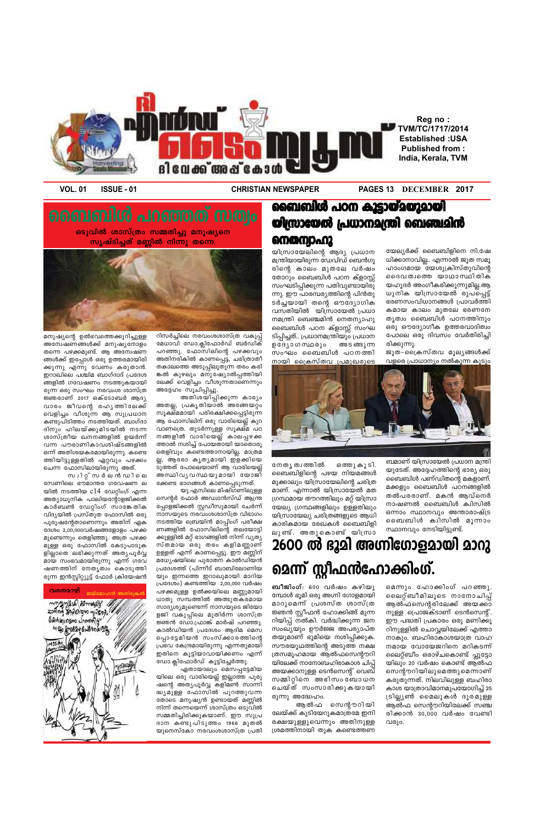**VOL. 01 ISSUE - 01 CHRISTIAN NEWSPAPER PAGES 13 DECEMBER 2017**

യേല്യർക്ക് ബൈബിളിനെ നി.ഷേ ധിക്കാനാവില്ല.. എന്നാൽ ജൂത സമൂ ഹാംഗമായ യേശുക്രിസ്തുവിന്റെ ദൈവത്വത്തെ യാഥാസ്ഥിതിക യഹൂദർ അംഗീകരിക്കുന്നുമില്ല.ആ ധുനിക യിസ്രായേൽ രൂപപ്പെട്ട്  $\epsilon$ രണസംവിധാനങ്ങൾ പ്രാവർത്തി കമായ കാലം മുതലേ ഭരണനേ തൃത്വം ബൈബിൾ പഠനത്തിനും ഒരു ഔദ്യോഗീക ഉത്തരവാദിത്വം പോലെ ഒരു ദിവസം വേർതിരിച്ചി

ജൂത-പ്രൈസ്തവ മൂല്യങ്ങൾക്ക്

#### **ബൈബിൾ പഠന കൂട്ടായ്മയുമായി യിസ്രായേൽ പ്രധാനമന്ത്രി ബെഞ്ചമിൻ നെതന്വാഹു**

യിസ്രായേലിന്റെ ആദ്യ പ്രധാന മന്ത്രിയായിരുന്ന ഡേവിഡ് ബെൻഗൂ രിന്റെ കാലം മുതലേ വർഷം തോറും ബൈബിൾ പഠന ക്ളാസ്സ് സംഘടിപ്പിക്കുന്ന പതിവുണ്ടായിരു ന്നു. ഈ പാരമ്പര്യത്തിന്റെ പിൻതു ടർച്ചയായി തന്റെ ഔദ്യോഗിക വസതിയിൽ യിസ്രായേൽ പ്രധാ നമന്ത്രി ബെഞ്ചമിൻ നെതന്യാഹു ബൈബിൾ പഠന ക്ളാസ്സ് സംഘ ടിപ്പിച്ചത്.. പ്രധാനമന്ത്രിയും പ്രധാന ഉദേൃാഗസ്ഥരും അടങ്ങുന്ന സംഘം ബൈബിൾ പഠനത്തി



ആൽഫസെന്റരിലേക്ക് അയക്കാ  $m$ ുള്ള പ്രൊജക്ടാണ് ടെൻസെന്റ്. ഈ പദ്ധതി പ്രകാരം ഒരു മണിക്കൂ റിനുള്ളിൽ ചൊവ്വയിലേക്ക് എത്താ നാകും. ബഹിരാകാശയാത്ര വാഹ നമായ വോയേജറിനെ മറികടന്ന് ലൈറ്റ്ബീം ഒരാഴ്ചകൊണ്ട് പ്ലൂട്ടോ യിലും 20 വർഷം കൊണ്ട് ആൽഫ സെന്റൗറിയിലുമെത്തുമെന്നാണ് കരുതുന്നത്. നിലവിലുള്ള ബഹിരാ കാശ യാത്രാവിമാനമുപയോഗിച്ച് 25 (ടില്ല്യൺ മൈലുകൾ ദൂരമുള്ള ആൽഫ സെന്റൗറിയിലേക്ക് സഞ്ച രിക്കാൻ 30,000 വർഷം വേണ്ടി വരും.



രിക്കുന്നു.

ബമാണ് യിസ്രായേൽ പ്രധാന മന്ത്രി യുടേത്. അദ്ദേഹത്തിന്റെ ഭാര്യ ഒരു ബൈബിൾ പണ്ഡിതന്റെ മകളാണ്. മക്കളും ബൈബിൾ പഠനങ്ങളിൽ തൽപരരാണ്. മകൻ ആവ്നെർ നാഷണൽ ബൈബിൾ ക്വിസിൽ ഒന്നാം സ്ഥാനവും അന്താരാഷ്ട്ര ഖൈബിൾ ക്വിസിൽ മൂന്നാം സ്ഥാനവും നേടിയിട്ടുണ്ട്.

നേതൃത്വത്തിൽ ഒത്തുകൂടി. ബൈബിളിന്റെ പഴയ നിയമങ്ങൾ മുക്കാലും യിസ്രായേലിന്റെ ചരിത്ര മാണ്. എന്നാൽ യിസ്രായേൽ മത ്രഗ്ന്ഥമായ തൗറത്തിലും മറ്റ് യിസ്രാ യേല്യ ഗ്രന്ഥങ്ങളിലും ഉള്ളതിലും യിസ്രായേല്യ ചരിത്രങ്ങളുടെ ആധി കാരികമായ രേഖകൾ ബൈബിളി ലുണ്ട്. അതുകൊണ്ട് യിസ്രാ

## 2600 ൽ ഭൂമി അഗ്നിഗോളമായി **മാ**റു മെന്ന് സ്റ്റീഫൻ**ഫോക്കിംഗ്.**

**ബീജിംഗ്**: 600 വർഷം കഴിയു മ്പോൾ ഭൂമി ഒരു അഗ്നി ഗോളമായി മാറുമെന്ന് പ്രശസ്ത ശാസ്ത്ര  $\epsilon$ ജ്ഞൻ സ്റ്റീഫൻ ഹോക്കിങ്ങ് മുന്ന റിയിപ്പ് നൽകി. വർദ്ധിക്കുന്ന ജന സംഖ്യയും ഊർജ്ജ അപര്യാപ്ത തയുമാണ് ഭൂമിയെ നശിപ്പിക്കുക. സൗരയൂഥത്തിന്റെ അടുത്ത നക്ഷ (തസമൂഹമായ ആൽഫസെന്റൗറി യിലേക്ക് നാനോബഹിരാകാശ ചിപ്പ് അയക്കാനുള്ള ടെൻസെന്റ് വെബ് സമ്മിറ്റിനെ അഭിസംബ്ബാധന ചെയ്ത് സംസാരിക്കുകയായി രുന്നു അദ്ധേഹം. ആൽഫ സെന്റൗറിയി ലേയ്ക്ക് കുടിയേറുകമാത്രമേ ഇനി രക്ഷയുളളൂവെന്നും അതിനുള<u>്</u>ള (ശമത്തിനായി തുക കണ്ടെത്തണ മെന്നും ഹോക്കിംഗ് പറഞ്ഞു. ലൈറ്റ് ബീമിലൂടെ നാനോചിപ്പ്

 $\bm{s}$ ടുവിൽ ശാസ്ത്രം സമ്മതിച്ചു മനുഷ്യനെ സൃഷ്ടിച്ചത് മണ്ണിൽ നിന്നു തന്നെ



റിസർച്ചിലെ നരവംശശാസ്ത്ര വകുപ്പ് മേധാവി ഡോ.ക്ലിഫോർഡ് ബർഡിക് പറഞ്ഞു. ഫോസിലിന്റെ പഴക്കവും അതിനരികിൽ കാണപ്പെട്ട, ചരിത്രാതീ തകാലത്തെ അടുപ്പിലൂതുന്ന തരം കരി ങ്കൽ കുഴലും മനുഷ്യോൽപ്പത്തിയി ലേക്ക് വെളിച്ചം വീശുന്നതാണെന്നു<del>ം</del> അദ്ദേഹം സൂചിപ്പിച്ചു.

അതിശയിപ്പിക്കുന്ന കാര്യം അതല്ല, പ്രകൃതിയാൽ അങ്ങേയറ്റം സൂക്ഷ്മമായി പരിരക്ഷിക്കപ്പെട്ടിരുന്ന ആ ഫോസിലിന് ഒരു വാരിയെല്ല് കുറ വാണത്രെ. തുടർന്നുള്ള സൂക്ഷ്മ പഠ നങ്ങളിൽ വാരിയെല്ല് കാലപ്പഴക്ക $\,$ ത്താൽ നശിച്ച് പോയതായി യാതൊരു തെളിവും കണ്ടെത്താനായില്ല. മാത്രമ ല്ല, ആരോ കൃതൃമായി ഇളക്കിയെ ടുത്തത് പോലെയാണ് ആ വാരിയെല്ല് അസ്ഥിവൃവസ്ഥയുമായി യോജി ക്കേണ്ട ഭാഗങ്ങൾ കാണപ്പെടുന്നത്.

യു.എസിലെ മിഷിഗണിലുള്ള സെന്റർ ഫോർ അഡ്വാൻസ്ഡ് ആന്ത്ര പ്പോളജിക്കൽ സ്റ്റഡീസുമായി ചേർന്ന് നാസയുടെ നരവംശശാസ്ത്ര വിഭാഗം നടത്തിയ ബ്രെയിൻ മാപ്പിംഗ് പരീക്ഷ ണങ്ങളിൽ ഫോസിലിന്റെ തലയോട്ടി ക്കുള്ളിൽ മറ്റ് ഭാഗങ്ങളിൽ നിന്ന് വൃതൃ സ്തമായ ഒരു തരം കളിമണ്ണാണ് ഉള്ളത് എന്ന് കാണപ്പെട്ടു. ഈ മണ്ണിന് മധ്യേഷയിലെ പുരാതന കാൽഡിയൻ പ്രദേശത്ത് (പിന്നീട് ബാബിലോണിയ യും ഇന്നത്തെ ഇറാഖുമായി മാറിയ  $[$ പദേശം) കണ്ടത്തിയ 2,00,000 വർഷം പഴക്കമുള്ള ഉൽക്കയിലെ മണ്ണുമായി ധാതു സമ്പത്തിൽ അത്ഭുതകരമായ സാദൃശ്യമുണ്ടെന്ന നാസയുടെ ജിയോ ളജി വകുപ്പിലെ മുതിർന്ന ശാസ്ത്ര  $\varepsilon$ ജ്ഞൻ ഡോ.ഫ്രാങ്ക് മാർഷ് പറഞ്ഞു. കാൽഡിയൻ പ്രദേശം ആദിമ മെസ പ്പൊട്ടേമിയൻ സംസ്ക്കാരത്തിന്റെ (പഭവ കേന്ദ്രമായിരുന്നു എന്നതുമായി ഇതിനെ കൂട്ടിയാവായിക്കണം എന്ന് ഡോ.ക്ലിഫോർഡ് കൂട്ടിച്ചേർത്തു. ഏതായാലും മെസപ്പട്ടേമിയ യിലെ ഒരു വാരിയെല്ല് ഇല്ലാത്ത പുരു ഷന്റെ അത്യപൂർവ്വ കളിമൺ സാന്നി ദ്ധ്യമുള്ള ഫോസിൽ പുറത്തുവന്ന തോടെ മനുഷ്യൻ ഉണ്ടായത് മണ്ണിൽ നിന്ന് തന്നെയെന്ന് ശാസ്ത്രം ഒടുവിൽ സമ്മതിച്ചിരിക്കുകയാണ്. ഈ സുപ്ര ദാന കണ്ടുപിടുത്തം 1966 മുതൽ യുനെസ്കോ നരവംശശാസ്ത്ര പ്രതി

മനുഷ്യന്റെ ഉൽഭവത്തെക്കുറിച്ചുള്ള അന്വേഷണങ്ങൾക്ക് മനുഷ്യനോളം തന്നെ പഴക്കമുണ്ട്. ആ അന്വേഷണ ങ്ങൾക്ക് ഇപ്പോൾ ഒരു ഉത്തരമായിരി ക്കുന്നു എന്നു വേണം കരുതാൻ. ഇറാഖിലെ പശ്ചിമ ബാഗ്ദാദ് പ്രദേശ ങ്ങളിൽ ഗവേഷണം നടത്തുകയായി രുന്ന ഒരു സംഘം നരവംശ ശാസ്ത്ര ജ്ഞരാണ് 2017 ഒക്ടോബർ ആദൃ വാരം ജീവന്റെ രഹൃത്തിലേക്ക് വെളിച്ചം വീശുന്ന ആ സുപ്രധാന കണ്ടുപിടിത്തം നടത്തിയത്. ബാഗ്ദാ ദിനും ഹിലയ്ക്കുമിടയിൽ നടന്ന ശാസ്ത്രീയ ഖനനങ്ങളിൽ ഉയർന്ന് വന്ന പൗരാണികാവശിഷ്ടങ്ങളിൽ ഒന്ന് അതിശയകരമായിരുന്നു. കണ്ടെ ത്തിയിട്ടുള്ളതിൽ ഏറ്റവും പഴക്കം ചെന്ന ഫോസിലായിരുന്നു അത്.

m വിറ്റ്സർലൻ ഡിലെ സേണിലെ ഭൗമാന്തര ഗവേഷണ ല യിൽ നടത്തിയ  $c14$  ഡേറ്റിംഗ് എന്ന അത്യാധുനിക പാലിയന്റോളജിക്കൽ കാർബൺ ഡേറ്റിംഗ് സാങ്കേതിക വിദ്യയിൽ പ്രസ്തുത ഫോസിൽ ഒരു പുരുഷന്റേതാണെന്നും അതിന് ഏക ദേശം 2,00,000വർഷങ്ങളോളം പഴക്ക മുണ്ടെന്നും തെളിഞ്ഞു. അത്ര പഴക്ക മുള്ള ഒരു ഫോസിൽ കേടുപാടു**ക** ളില്ലാതെ ലഭിക്കുന്നത് അതൃപൂർവ്വ മായ സംഭവമായിരുന്നു എന്ന് ഗവേ ഷണത്തിന് നേതൃത്വം കൊടുത്തി രുന്ന ഇൻസ്റ്റിറ്റ്യൂട്ട് ഫോർ ക്രിയേഷൻ

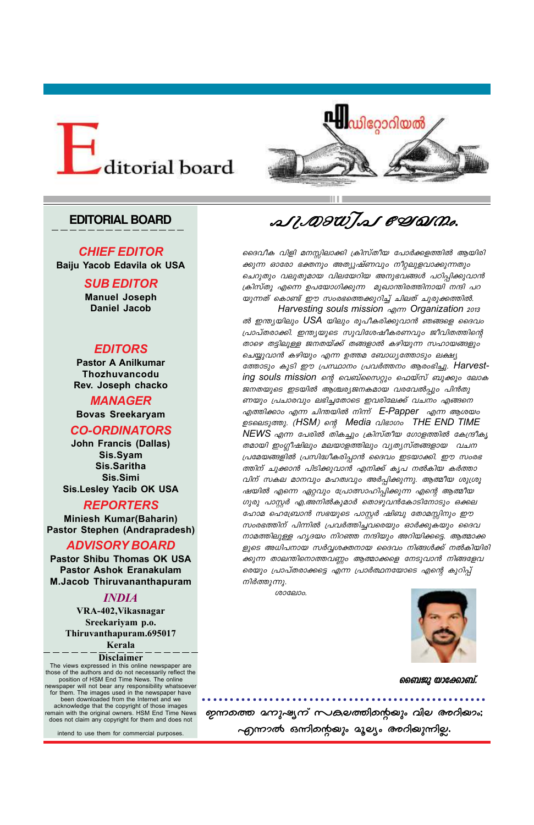○ ○ ○ ○ ○ ○ ○ ○ ○ ○ ○ ○ ○ ○ ○ ○ ○ ○ ○ ○ ○ ○ ○ ○ ○ ○ ○ ○ ○ ○ ○ ○ ○ ○ ○ ○ ○ ○ ○ ○ ○ ○ ○ ○ ○ ○ ○ ○ ○ ○ ○





#### **EDITORIAL BOARD**

#### *CHIEF EDITOR*

**Baiju Yacob Edavila ok USA**

#### *SUB EDITOR*

**Manuel Joseph Daniel Jacob**

#### *EDITORS*

**Pastor A Anilkumar Thozhuvancodu Rev. Joseph chacko**

#### *MANAGER* **Bovas Sreekaryam**

#### *CO-ORDINATORS*

**John Francis (Dallas) Sis.Syam Sis.Saritha Sis.Simi Sis.Lesley Yacib OK USA**

#### *REPORTERS*

 *Harvesting souls mission F∂ Organization 2013*  $\omega$  *ത് ഇന്ത്യയിലും USA യിലും രൂപീകരിക്കുവാൻ ഞങ്ങളെ ദൈവം {]m]vX-cm-°n. C¥y-bpsS kphn-ti-jo-I-c-Whpw Pohn-X-Øns' താഴെ തട്ടിലുള്ള ജനതയ്ക്ക് തങ്ങളാൽ കഴിയുന്ന സഹായങ്ങളും ചെയ്യുവാൻ കഴിയും എന്ന ഉത്തമ ബോധൃത്തോടും ലക്ഷ്യ tØmSpw IqSn Cu {]ÿm\w {]h¿Ø\w Bcw-`n-®p. Harvesting souls mission ന്റെ വെബ്സൈറ്റും ഫെയ്സ് ബുക്കും ലോക ജനതയുടെ ഇടയിൽ ആശ്ചര്യജനകമായ വരവേൽപ്പും പിൻതു ണയും പ്രചാരവും ലഭിച്ചതോടെ ഇവരിലേക്ക് വചനം എങ്ങനെ എത്തിക്കാം എന്ന ചിന്തയിൽ നിന്ന് E-Papper എന്ന ആശയം ഉടലെടുത്തു. (HSM) ന്റെ Media വിഭാഗം THE END TIME NEWS എന്ന പേരിൽ തികച്ചും ക്രിസ്തീയ ഗോളത്തിൽ കേന്ദ്രീകൃ തമായി ഇംഗ്ലീഷിലും മലയാളത്തിലും വൃതൃസ്തങ്ങളായ വചന {]ta-b-ß-fn¬ {]kn-≤o-I-cn-∏m≥ ssZhw CS-bm-°n. Cu kwc-`- ത്തിന് ചുക്കാൻ പിടിക്കുവാൻ എനിക്ക് കൃപ നൽകിയ കർത്താ വിന് സകല മാനവും മഹത്വവും അർപ്പിക്കുന്നു. ആത്മീയ ശുശ്രൂ ഷയിൽ എന്നെ ഏറ്റവും പ്രോത്സാഹിപ്പിക്കുന്ന എന്റെ ആത്മീയ* ഗുരു പാസ്റ്റർ എ.അനിൽകുമാർ തൊഴുവൻകോടിനോടും ഒക്കല ഹോമ ഹെബ്രോൻ സഭയുടെ പാസ്റ്റർ ഷിബു തോമസ്സിനും ഈ *സംരഭത്തിന് പിന്നിൽ പ്രവർത്തിച്ചവരെയും ഓർക്കുകയും ദൈവ mാമത്തിലുള്ള ഹൃദയം നിറഞ്ഞ നന്ദിയും അറിയിക്കട്ടെ. ആത്മാക്ക fpsS A[n-]-\mb k¿∆-i-‡-\mb ssZhw \n߃°v \¬In-bn-cn- ക്കുന്ന താലന്തിനൊത്തവണ്ണം ആത്മാക്കളെ നേടുവാൻ നിങ്ങളേവ രെയും പ്രാപ്തരാക്കട്ടെ എന്ന പ്രാർത്ഥനയോടെ എന്റെ കുറിപ്പ് mിർത്തുന്നു.* 

**Miniesh Kumar(Baharin) Pastor Stephen (Andrapradesh)**

#### *ADVISORY BOARD*

**Pastor Shibu Thomas OK USA Pastor Ashok Eranakulam M.Jacob Thiruvananthapuram**

#### *INDIA*

 $\mathscr{A}\mathscr{U}$ DI $\mathscr{U}$ J $\mathscr{A}$  CD(DI $\mathscr{D}$ o.

ദൈവീക വിളി മനസ്സിലാക്കി ക്രിസ്തീയ പോർക്കളത്തിൽ ആയിരി *ക്കുന്ന ഓരോ ഭക്തനും അത്യുഷ്ണവും നീറ്റലുളവാക്കുന്നതും ചെറുതും വലുതുമായ വിലയേറിയ അനുഭവങ്ങൾ പഠിപ്പിക്കുവാൻ (കിസ്തു എന്നെ ഉപയോഗിക്കുന്ന മുഖാന്തിരത്തിനായി നന്ദി പറ യുന്നത് കൊണ്ട് ഈ സംരഭത്തെക്കുറിച്ച് ചിലത് ചുരുക്കത്തിൽ.* 

**VRA-402,Vikasnagar Sreekariyam p.o. Thiruvanthapuram.695017**

**Kerala**

 *imtemw.*



#### **Disclaimer**

The views expressed in this online newspaper are those of the authors and do not necessarily reflect the position of HSM End Time News. The online newspaper will not bear any responsibility whatsoever for them. The images used in the newspaper have been downloaded from the Internet and we acknowledge that the copyright of those images remain with the original owners. HSM End Time News does not claim any copyright for them and does not

intend to use them for commercial purposes.



#### *ഖൈജു യാക്കോബ്.*

## **ഗുന്നത്തെ മനുഷ്യന് സകുലത്തിന്റെയും വില അറിയാം;**  $\sim$ എന്നാൽ ഒന്നിമന്റയും ദൂല്യം *അറി*യുന്നില്ല.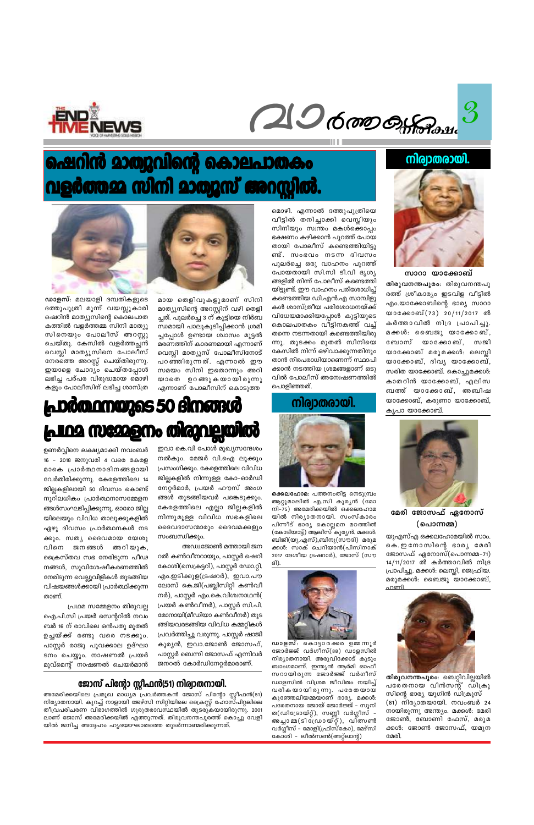$\mathcal{S}$ 20 6000 Of Passe



#### നിര്വാതരായി.



സാറാ യാക്കോബ് തിരുവനന്തപുരം: തിരുവനന്തപു രത്ത് ശ്രീകാര്യം ഇടവിള വീട്ടിൽ എം.യാക്കോബിന്റെ ഭാര്യ സാറാ യാക്കോബ്(73) 20/11/2017 ൽ കർത്താവിൽ നിദ്ര പ്രാപിച്ചു. മക്കൾ: ബൈജു യാക്കോബ്, ബോസ് യാക്കോബ്, സജി യാക്കോബ് മരുമക്കൾ: ലെസ്ലി യാക്കോബ്, ദിവ്യ യാക്കോബ്, സരിത യാക്കോബ്. കൊച്ചുമക്കൾ: കാതറിൻ യാക്കോബ്, എലിസ ബത്ത് യാക്കോബ്, അബിഷ യാക്കോബ്, കരുണാ യാക്കോബ്, കൃപാ യാക്കോബ്.



മേരി ജോസഫ് ഏനോസ് (പൊന്നമ്മ)

യുഎസ്എ ഒക്കലഹോമയിൽ സാം. കെ. ഇനോസിന്റെ ഭാര്യ മേരി ജോസഫ് ഏനോസ്(പൊന്നമ്മ–71) 14/11/2017 ൽ കർത്താവിൽ നിദ്ര പ്രാപിച്ചു. മക്കൾ: ലെസ്ലി, ജെഫ്രിയ. മരുമക്കൾ: ബൈജു യാക്കോബ്, ഛണി



## ഷെറിൻ മാത്യുവിന്റെ കൊലപാതകം പളർത്തമ്മ സിനി മാത്യൂസ് അറസ്റ്റിൽ.



#### നിര്വാതരായി.



ആറ്റുമാലിൽ എ.സി കുര്യൻ (മോ നി–75) അമേരിക്കയിൽ ഒക്കലഹോമ യിൽ നിര്യാതനായി. സംസ്കാരം പിന്നീട് ഭാര്യ കൊല്ലമന മഠത്തിൽ (കോടിയാട്ട്) ആലീസ് കുര്യൻ. മക്കൾ: ബിജി(യു.എസ്),ബിനു(സൗദി) മരുമ ക്കൾ: സാക് ചെറിയാൻ(പിസിനാക് 2017 ദേശീയ ട്രഷറാർ), ജോസ് (സൗ ദി).





ഒക്കലഹോമ: പത്തനംതിട്ട നെടുമ്പ്രം



## മായ തെളിവുകളുമാണ് സിനി മാത്യൂസിന്റെ അറസ്റ്റിന് വഴി തെളി ച്ചത്. പുലർച്ചെ 3 ന് കുട്ടിയെ നിർബ ന്ധമായി പാലുകുടിപ്പിക്കാൻ ശ്രമി ച്ചപ്പോൾ ഉണ്ടായ ശ്വാസം മുട്ടൽ മരണത്തിന് കാരണമായി എന്നാണ്



ഡാളസ്: മലയാളി ദമ്പതികളുടെ ദത്തുപുത്രി മൂന്ന് വയസ്സുകാരി ഷെറിൻ മാത്യൂസിന്റെ കൊലപാത കത്തിൽ വളർത്തമ്മ സിനി മാത്യൂ സിനെയും പോലീസ് അറസ്റ്റു ചെയ്തു. കേസിൽ വളർത്തച്ഛൻ വെസ്ലി മാത്യൂസിനെ പോലീസ് നേരത്തെ അറസ്റ്റ് ചെയ്തിരുന്നു. ഇയാളെ ചോദ്യം ചെയ്തപ്പോൾ ലഭിച്ച പര്പര വിരുദ്ധമായ മൊഴി കളും പോലീസിന് ലഭിച്ച ശാസ്ത്ര

#### **പ്രാരത്ഥനയുടെ 50 ദിനങ്ങൾ cologogyce ING ME226** Ю

ഉണർവ്വിനെ ലക്ഷ്യമാക്കി നവംബർ 16 - 2018 ജനുവരി 4 വരെ കേരള മാകെ പ്രാർത്ഥനാദിനങ്ങളായി വേർതിരിക്കുന്നു. കേരളത്തിലെ 14 ജില്ലകളിലായി 50 ദിവസം കൊണ്ട് നൂറിലധികം പ്രാർത്ഥനാസമ്മേളന ങ്ങൾസംഘടിപ്പിക്കുന്നു. ഓരോ ജില്ല യിലെയും വിവിധ താലൂക്കുകളിൽ ഏഴു ദിവസം പ്രാർത്ഥനകൾ നട ക്കും. സത്യ ദൈവമായ യേശു വിനെ ജനങ്ങൾ അറിയുക, ക്രൈസ്തവ സഭ നേരിടുന്ന പീഢ നങ്ങൾ, സുവിശേഷീകരണത്തിൽ നേരിടുന്ന വെല്ലുവിളികൾ തുടങ്ങിയ വിഷയങ്ങൾക്കായി പ്രാർത്ഥിക്കുന്ന താണ്.

നൽകും. മേജർ വി.ഐ ലൂക്കും പ്രസംഗിക്കും. കേരളത്തിലെ വിവിധ ജില്ലകളിൽ നിന്നുള്ള കോ–ഓർഡി നേറ്റർമാർ, പ്രയർ ഹൗസ് അംഗ ങ്ങൾ തുടങ്ങിയവർ പങ്കെടുക്കും. കേരളത്തിലെ എല്ലാ ജില്ലകളിൽ നിന്നുമുള്ള വിവിധ സഭകളിലെ ദൈവദാസന്മാരും ദൈവമക്കളും സംബന്ധിക്കും.

ഇവാ കെ.വി പോൾ മുഖ്യസന്ദേശം

വെസ്ലി മാത്യൂസ് പോലീസിനോട്

പറഞ്ഞിരുന്നത്. എന്നാൽ ഈ

സമയം സിനി ഇതൊന്നും അറി

യാതെ ഉറങ്ങുകയായിരുന്നു

എന്നാണ് പോലീസിന് കൊടുത്ത

അഡ്വ.ജോൺ മത്തായി ജന റൽ കൺവീനറായും, പാസ്റ്റർ ഷെറി കോശി(സെക്രട്ടറി), പാസ്റ്റർ ഡോ.റ്റി. എം.ഇടിക്കുള(ട്രഷറർ), ഇവാ.പൗ ലോസ് കെ.ജി(പബ്ലിസിറ്റി കൺവീ നർ), പാസ്റ്റർ എം.കെ.വിശ്വനാഥൻ( പ്രയർ കൺവീനർ), പാസ്റ്റർ സി.പി. മോനായി(മീഡിയാ കൺവീനർ) തുട ങ്ങിയവരടങ്ങിയ വിവിധ കമ്മറ്റികൾ പ്രവർത്തിച്ചു വരുന്നു. പാസ്റ്റർ ഷാജി കുര്യൻ, ഇവാ.ജോൺ ജോസഫ്, പാസ്റ്റർ ബെന്നി ജോസഫ് എന്നിവർ ജനറൽ കോർഡിനേറ്റർമാരാണ്.

> തിരുവനന്തപുരം: ബെറ്റിവില്ലയിൽ പരേതനായ വിൻസന്റ് ഡിക്രൂ സിന്റെ ഭാര്യ യൂഗിൻ ഡിക്രൂസ് (81) നിര്യാതയായി. നവംബർ 24 നായിരുന്നു അന്ത്യം. മക്കൾ: മേരി ജോൺ, ബോണി ഫേസ്, മരുമ ക്കൾ: ജോൺ ജോസഫ്, യമുന മേരി.

ഡാളസ്: കൊട്ടാരക്കര ഉമ്മന്നൂർ ജോർജ്ജ് വർഗീസ്(88) ഡാളസിൽ നിര്യാതനായി. അരുവിക്കോട് കുടും ബാംഗമാണ്. ഇന്ത്യൻ ആർമി ഓഫീ സറായിരുന്ന ജോർജ്ജ് വർഗീസ് ഡാളസിൽ വിശ്രമ ജീവിതം നയിച്ച് വരികയായിരുന്നു. പരേതയായ കുഞ്ഞേലിയമ്മയാണ് ഭാര്യ. മക്കൾ: പരേതനായ ജോയ് ജോർജ്ജ് – സുനി ത(ഡിട്രോയ്റ്റ്), സണ്ണി വർഗ്ഗീസ് -അച്ചാമ്മ(ടിധ്രോയ്റ്റ്), വിത്സൺ വർഗ്ഗീസ് – മോളി(ഫ്രിസ്കോ), മേഴ്സി കോശി - ലീൽസൺ(അറ്റ്ലാന്റ)

്രവ്ഥമ സമ്മേളനം തിരുവല്ല ഐ.പി.സി പ്രയർ സെന്ററിൽ നവം ബർ 16 ന് രാവിലെ ഒൻപതു മുതൽ ഉച്ചയ്ക്ക് രണ്ടു വരെ നടക്കും. പാസ്റ്റർ രാജു പൂവക്കാല ഉദ്ഘാ ടനം ചെയ്യും. നാഷണൽ പ്രയർ മൂവ്മെന്റ് നാഷണൽ ചെയർമാൻ

#### ജോസ് പിന്റോ സ്റ്റീഫൻ(51) നിര്വാതനായി.

അമേരിക്കയിലെ പ്രമുഖ മാധ്യമ പ്രവർത്തകൻ ജോസ് പിന്റോ സ്റ്റീഫൻ(51) നിര്യാതനായി. കുറച്ച് നാളായി ജേഴ്സി സിറ്റിയിലെ ക്രൈസ്റ്റ് ഹോസ്പിറ്റലിലെ തീവ്രപരിചരണ വിഭാഗത്തിൽ ഗുരുതരാവസ്ഥയിൽ തുടരുകയായിരുന്നു. 2001 ലാണ് ജോസ് അമേരിക്കയിൽ എത്തുന്നത്. തിരുവനന്തപുരത്ത് കൊച്ചു വേളി യിൽ ജനിച്ച അദ്ദേഹം ഹൃദയാഘാതത്തെ തുടർന്നാണ്മരിക്കുന്നത്.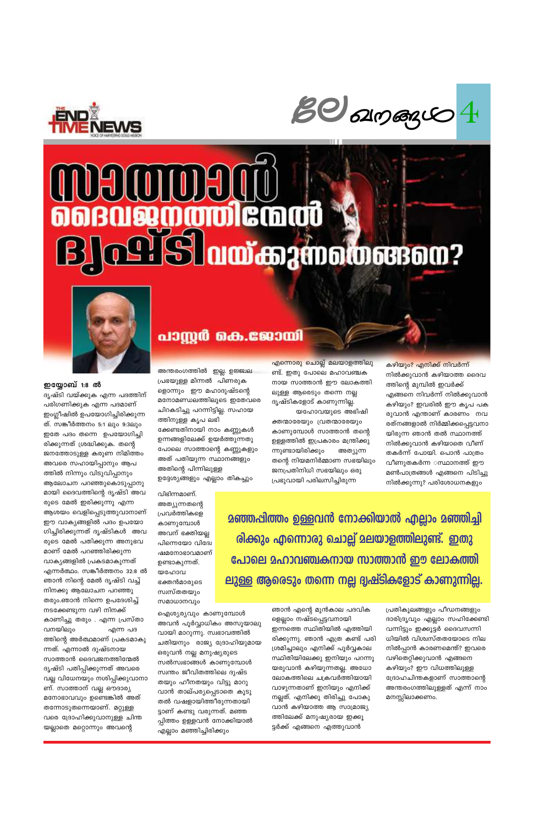

കാണുമ്പോൾ അവന് ഭക്തിയല്ല പിന്നെയോ വിദ്വേ ഷമനോഭാവമാണ് ഉണ്ടാകുന്നത്. യഹോവ ഭക്തൻമാരുടെ സ്വസ്തതയും സമാധാനവും

വിഭിന്നമാണ്. അത്യുന്നതന്റെ പ്രവർത്തികളെ

പ്രഭയുള്ള മിന്നൽ പിണരുക ളൊന്നും ഈ മഹാദുഷ്ടന്റെ മനോമണ്ഡലത്തിലൂടെ ഇതേവരെ ചിറകടിച്ചു പറന്നിട്ടില്ല. സഹായ ത്തിനുള്ള കൃപ ലഭി ക്കേണ്ടതിനായി നാം കണ്ണുകൾ ഉന്നങ്ങളിലേക്ക് ഉയർത്തുന്നതു പോലെ സാത്താന്റെ കണ്ണുകളും അത് പതിയുന്ന സ്ഥാനങ്ങളും അതിന്റെ പിന്നിലുള്ള ഉദ്ദേശ്യങ്ങളും എല്ലാം തികച്ചും

അന്തരംഗത്തിൽ ഇല്ല. ഉജ്ജ്വല

ദൃഷ്ടികളോട് കാണുന്നില്ല. യഹോവയുടെ അഭിഷി ക്തന്മാരേയും വ്രതന്മാരേയും കാണുമ്പോൾ സാത്താൻ തന്റെ ഉള്ളത്തിൽ ഇപ്രകാരം മന്ത്രിക്കു ന്നുണ്ടായിരിക്കും അത്യുന്ന തന്റെ നിയമനിർമ്മാണ സഭയിലും ജനപ്രതിനിധി സഭയിലും ഒരു

പ്രഭുവായി പരിലസിച്ചിരുന്ന

<u> മഞ്ഞപിത്തം ഉള്ളവൻ നോക്കിയാൽ എല്ലാം മഞ്ഞിച്ചി</u>

രിക്കും എന്നൊരു ചൊല്ല് മലയാളത്തിലുണ്ട്. ഇതു

പോലെ മഹാവഞ്ചകനായ സാത്താൻ ഈ ലോകത്തി

ലുള്ള ആരെടും തന്നെ നല്ല ദൃഷ്ടികളോട് കാണുന്നില്ല.

എന്നൊരു ചൊല്ല് മലയാളത്തിലു ണ്ട്. ഇതു പോലെ മഹാവഞ്ചക നായ സാത്താൻ ഈ ലോകത്തി ലുള്ള ആരെടും തന്നെ നല്ല

നിൽക്കുവാൻ കഴിയാത്ത ദൈവ ത്തിന്റെ മുമ്പിൽ ഇവർക്ക് എങ്ങനെ നിവർന്ന് നിൽക്കുവാൻ കഴിയും? ഇവരിൽ ഈ കൃപ പക രുവാൻ എന്താണ് കാരണം നവ രത്നങ്ങളാൽ നിർമ്മിക്കപ്പെട്ടവനാ യിരുന്ന ഞാൻ തൽ സ്ഥാനത്ത് നിൽക്കുവാൻ കഴിയാതെ വീണ് തകർന്ന് പോയി. പൊൻ പാത്രം വീണുതകർന്ന ഃസ്ഥാനത്ത് ഈ മൺപാത്രങ്ങൾ എങ്ങനെ പിടിച്ചു നിൽക്കുന്നു? പരിശോധനകളും

കഴിയും? എനിക്ക് നിവർന്ന്



### പാസ്റ്റർ കെ.ജോയി





Beloureau

നടക്കേണ്ടുന്ന വഴി നിനക്ക് കാണിച്ചു തരും . എന്ന പ്രസ്താ വനയിലും എന്ന പദ ത്തിന്റെ അർത്ഥമാണ് പ്രകടമാകു ന്നത്. എന്നാൽ ദുഷ്ടനായ സാത്താൻ ദൈവജനത്തിന്മേൽ ദൃഷ്ടി പതിപ്പിക്കുന്നത് അവരെ വല്ല വിധേനയും നശിപ്പിക്കുവാനാ ണ്. സാത്താന് വല്ല ഔദാര്യ മനോഭാവവും ഉണ്ടെങ്കിൽ അത് തന്നോടുതന്നെയാണ്. മറ്റുള്ള വരെ ദ്രോഹിക്കുവാനുള്ള ചിന്ത യല്ലാതെ മറ്റൊന്നും അവന്റെ

ഐശ്യര്യവും കാണുമ്പോൾ അവൻ പൂർവ്വാധികം അസൂയാലു വായി മാറുന്നു. സ്വഭാവത്തിൽ ചതിയനും രാജ്യ ദ്രോഹിയുമായ ഒരുവൻ നല്ല മനുഷ്യരുടെ സൽസ്വഭാങ്ങൾ കാണുമ്പോൾ സ്വന്തം ജീവിതത്തിലെ ദുഷ്ട തയും ഹീനതയും വിട്ടു മാറു വാൻ താല്പര്യപ്പെടാതെ കൂടു തൽ വഷളായിത്തീരുന്നതായി ട്ടാണ് കണ്ടു വരുന്നത്. മഞ്ഞ പ്പിത്തം ഉള്ളവൻ നോക്കിയാൽ എല്ലാം മഞ്ഞിച്ചിരിക്കും

ഞാൻ എന്റെ മുൻകാല പദവിക ളെല്ലാം നഷ്ടപ്പെട്ടവനായി ഇന്നത്തെ സ്ഥിതിയിൽ എത്തിയി രിക്കുന്നു. ഞാൻ എത്ര കണ്ട് പരി ശ്രമിച്ചാലും എനിക്ക് പൂർവ്വകാല സ്ഥിതിയിലേക്കു ഇനിയും പറന്നു യരുവാൻ കഴിയുന്നതല്ല. അധോ ലോകത്തിലെ ചക്രവർത്തിയായി വാഴുന്നതാണ് ഇനിയും എനിക്ക് നല്ലത്. എനിക്കു തിരിച്ചു പോകു വാൻ കഴിയാത്ത ആ സാമ്രാജ്യ ത്തിലേക്ക് മനുഷ്യരായ ഇക്കൂ ട്ടർക്ക് എങ്ങനെ എത്തുവാൻ

പ്രതികൂലങ്ങളും പീഡനങ്ങളും ദാരിദ്രൃവും എല്ലാം സഹിക്കേണ്ടി വന്നിട്ടും ഇക്കൂട്ടർ ദൈവസന്നി ധിയിൽ വിശ്വസ്തതയോടെ നില നിൽപ്പാൻ കാരണമെന്ത്? ഇവരെ വഴിതെറ്റിക്കുവാൻ എങ്ങനെ കഴിയും? ഈ വിധത്തിലുള്ള ദ്രോഹചിന്തകളാണ് സാത്താന്റെ അന്തരംഗത്തിലുള്ളത് എന്ന് നാം മനസ്സിലാക്കണം.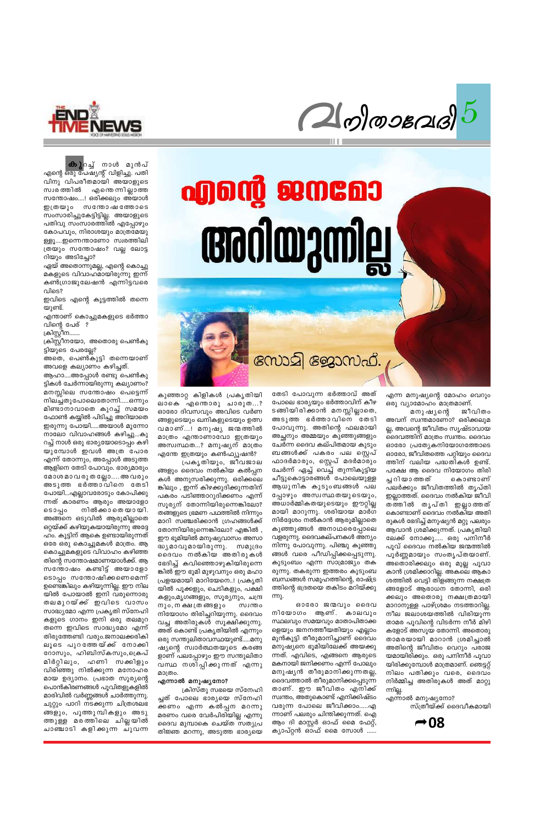

 $2$  olossas)

# 

എന്ന മനുഷ്യന്റെ മോഹം വെറും ഒരു വ്യാമോഹം മാത്രമാണ്.

മനു ഷ്യന്റെ ജീവിതം അവന് സ്വന്തമാണോ? ഒരിക്കലുമ ല്ല, അവന്റെ ജീവിതം സൃഷ്ടാവായ ദൈവത്തിന് മാത്രം സ്വന്തം. ദൈവം ഓരോ പ്രത്യേകനിയോഗത്തോടെ ഓരോ, ജീവിതത്തെ പറ്റിയും ദൈവ ത്തിന് വലിയ പദ്ധതികൾ ഉണ്ട്. പക്ഷേ ആ ദൈവ നിയോഗം തിരി ച്ച റി യാത്തത് കൊണ്ടാണ് പലർക്കും ജീവിതത്തിൽ തൃപ്തി ഇല്ലാത്തത്. ദൈവം നൽകിയ ജീവി തത്തിൽ തൃപ്തി ഇല്ലാത്തത് കൊണ്ടാണ് ദൈവം നൽകിയ അതി രുകൾ ഭേദിച്ച് മനുഷ്യൻ മറ്റു പലരും ആവാൻ ശ്രമിക്കുന്നത്. പ്രകൃതിയി ലേക്ക് നോക്കൂ..... ഒരു പനിനീർ പൂവ് ദൈവം നൽകിയ ജന്മത്തിൽ പൂർണ്ണമായും സംതൃപ്തയാണ്. അതൊരിക്കലും ഒരു മുല്ല പൂവാ കാൻ ശ്രമിക്കാറില്ല. അകലെ ആകാ ശത്തിൽ വെട്ടി തിളങ്ങുന്ന നക്ഷത്ര ങ്ങളോട് ആരാധന തോന്നി, ഒരി ക്കലും അതൊരു നക്ഷത്രമായി മാറാനുള്ള പാഴ്ശ്രമം നടത്താറില്ല. നീല ജലാശയത്തിൽ വിരിയുന്ന താമര പൂവിന്റെ വിടർന്ന നീർ മിഴി കളോട് അസൂയ തോന്നി. അതൊരു താമരയായി മാറാൻ ശ്രമിച്ചാൽ അതിന്റെ ജീവിതം വെറും പരാജ യമായിരിക്കും. ഒരു പനിനീർ പൂവാ യിരിക്കുമ്പോൾ മാത്രമാണ്. ഞെട്ടറ്റ് നിലം പതിക്കും വരെ, ദൈവം നിർമ്മിച്ച അതിരുകൾ അത് മാറ്റു ന്നില്ല.

തേടി പോവുന്ന ഭർത്താവ് അത് പോലെ ഭാര്യയും ഭർത്താവിന് കീഴ ടങ്ങിയിരിക്കാൻ മനസ്സില്ലാതെ, അടുത്ത ഭർത്താവിനെ തേടി പോവുന്നു. അതിന്റെ ഫലമായി അച്ഛനും അമ്മയും കുഞ്ഞുങ്ങളും ചേർന്ന ദൈവ കല്പിതമായ കുടും ബങ്ങൾക്ക് പകരം പല സ്റ്റെപ് ഫാദർമാരും, സ്റ്റെപ് മദർമാരും ചേർന്ന് ഏച്ച് വെച്ച് തുന്നികൂട്ടിയ ചീട്ടുകൊട്ടാരങ്ങൾ പോലെയുള്ള ആധുനിക കുടുംബങ്ങൾ പല പ്പോഴും അസ്വസ്ഥതയുടെയും, അധാർമ്മികതയുടെയും ഈറ്റില്ല മായി മാറുന്നു. ശരിയായ മാർഗ നിർദ്ദേശം നൽകാൻ ആരുമില്ലാതെ കുഞ്ഞുങ്ങൾ അനാഥരെപ്പോലെ വളരുന്നു. ദൈവകല്പനകൾ അന്യം നിന്നു പോവുന്നു. പിഞ്ചു കുഞ്ഞു ങ്ങൾ വരെ പീഡിപ്പിക്കപ്പെടുന്നു. കുടുംബം എന്ന സാമ്രാജ്യം തക രുന്നു. തകരുന്ന ഇത്തരം കുടുംബ ബന്ധങ്ങൾ സമൂഹത്തിന്റെ, രാഷ്ട്ര ത്തിന്റെ ഭദ്രതയെ തകിടം മറിയ്ക്കു

നോമി ജോസഫ്.

ഓരോ ജന്മവും ദൈവ

കുഞ്ഞാറ്റ കിളികൾ പ്രകൃതിയി ലാകെ എന്തൊരു ചാരുത…? ഓരോ ദിവസവും അവിടെ വർണ ങ്ങളുടെയും ഖനികളുടെയും ഉത്സ വമാണ്...! മനുഷ്യ ജന്മത്തിൽ മാത്രം എന്താണാവോ ഇത്രയും അസ്വസ്ഥത...? മനുഷ്യന് മാത്രം എന്തേ ഇത്രയും കൺഫ്യൂഷൻ?

പ്രകൃതിയും, ജീവജാല ങ്ങളും ദൈവം നൽകിയ കൽപ്പന കൾ അനുസരിക്കുന്നു. ഒരിക്കലെ ങ്കിലും , ഇന്ന് കിഴക്കുദിക്കുന്നതിന് പകരം പടിഞ്ഞാറുദിക്കണം എന്ന് സൂര്യന് തോന്നിയിരുന്നെങ്കിലോ? തങ്ങളുടെ ഭ്രമണ പഥത്തിൽ നിന്നും മാറി സഞ്ചരിക്കാൻ ഗ്രഹങ്ങൾക്ക് തോന്നിയിരുന്നെങ്കിലോ? എങ്കിൽ , ഈ ഭൂമിയിൽ മനുഷ്യവാസം അസാ ദ്ധ്യമാവുമായിരുന്നു. സമുദ്രം ദൈവം നൽകിയ അതിരുകൾ ഭേദിച്ച് കവിഞ്ഞൊഴുകിയിരുന്നെ ങ്കിൽ ഈ ഭൂമി മുഴുവനും ഒരു മഹാ പ്രളയമായി മാറിയേനെ..! പ്രകൃതി യിൽ പൂക്കളും, ചെടികളും, പക്ഷി കളും,മൃഗങ്ങളും, സൂര്യനും, ചന്ദ്ര നും, ന ക്ഷ ത്ര ങ്ങളും നിയോഗം തിരിച്ചറിയുന്നു. ദൈവം വച്ച അതിരുകൾ സൂക്ഷിക്കുന്നു. അത് കൊണ്ട് പ്രകൃതിയിൽ എന്നും ഒരു സന്തുലിതാവസ്ഥയുണ്ട്.....മനു ഷ്യന്റെ സ്വാർത്ഥതയുടെ കരങ്ങ ളാണ് പലപ്പോഴും ഈ സന്തുലിതാ വസ്ഥ നശിപ്പിക്കുന്നത് എന്നു മാത്രം.

**കു**റച്ച് നാൾ മുൻപ് എന്റെ ഒരു പേഷ്യന്റ് വിളിച്ചു. പതി വിനു വിപരീതമായി അയാളുടെ സ്വരത്തിൽ എന്തെന്നില്ലാത്ത സന്തോഷം....! ഒരിക്കലും അയാൾ ഇത്രയും സന്തോഷത്തോടെ സംസാരിച്ചുകേട്ടിട്ടില്ല. അയാളുടെ പതിവു സംസാരത്തിൽ എപ്പോഴും കോപവും, നിരാശയും മാത്രമേയു ള്ളൂ....ഇന്നെന്താണോ സ്വരത്തിലി ത്രയും സന്തോഷം? വല്ല ലോട്ട റിയും അടിച്ചോ?

ഏയ് അതൊന്നുമല്ല, എന്റെ കൊച്ചു മകളുടെ വിവാഹമായിരുന്നു ഇന്ന് കൺഗ്രാജുലേഷൻ എന്നിട്ടവരെ വിടെ?

ഇവിടെ എന്റെ കൂട്ടത്തിൽ തന്നെ യുണ്ട്.

എന്താണ് കൊച്ചുമകളുടെ ഭർത്താ വിന്റെ പേര് ?

ക്രിസ്റ്റീന.......

ക്രിസ്റ്റീനയോ, അതൊരു പെൺകു ട്ടിയുടെ പേരല്ലേ?

അതെ, പെൺകുട്ടി തന്നെയാണ് അവളെ കല്യാണം കഴിച്ചത്.

ആഹാ....അപ്പോൾ രണ്ടു പെൺകു ട്ടികൾ ചേർന്നായിരുന്നു കല്യാണം? മനസ്സിലെ സന്തോഷം പെട്ടെന്ന് നിലച്ചതുപോലെതോന്നി.....ഒന്നും മിണ്ടാനാവാതെ കുറച്ച് സമയം ഫോൺ കയ്യിൽ പിടിച്ചു അറിയാതെ ഇരുന്നു പോയി…..അയാൾ മൂന്നോ നാലോ വിവാഹങ്ങൾ കഴിച്ചു...കു റച്ച് നാൾ ഒരു ഭാര്യയോടൊപ്പം കഴി യുമ്പോൾ ഇവൾ അത്ര പോര എന്ന് തോന്നും, അപ്പോൾ അടുത്ത ആളിനെ തേടി പോവും. ഭാര്യമാരും മോശ മാവരു തല്ലോ.... അ വരും അടുത്ത ഭർത്താവിനെ തേടി പോയി...എല്ലാവരോടും കോപിക്കു ന്നത് കാരണം ആരും അയാളോ നിൽക്കാതെയായി. ടൊപ്പം അങ്ങനെ ഒടുവിൽ ആരുമില്ലാതെ ഒറ്റയ്ക്ക് കഴിയുകയായിരുന്നു അദ്ദേ ഹം. കൂട്ടിന് ആകെ ഉണ്ടായിരുന്നത് ഒരേ ഒരു കൊച്ചുമകൾ മാത്രം. ആ കൊച്ചുമകളുടെ വിവാഹം കഴിഞ്ഞ തിന്റെ സന്തോഷമാണയാൾക്ക്. ആ സന്തോഷം കണ്ടിട്ട് അയാളോ ടൊപ്പം സന്തോഷിക്കണെമെന്ന് ഉണ്ടെങ്കിലും കഴിയുന്നില്ല. ഈ നില യിൽ പോയാൽ ഇനി വരുന്നൊരു തലമുറയ്ക്ക് ഇവിടെ വാസം സാദ്ധ്യമോ എന്ന പ്രകൃതി സ്നേഹി കളുടെ ഗാനം ഇനി ഒരു തലമുറ തന്നെ ഇവിടെ സാദ്ധ്യമോ എന്ന് തിരുത്തേണ്ടി വരും.ജനാലക്കരികി ലൂടെ പുറത്തേയ്ക്ക് നോക്കി റോസും, ഹിബിസ്കസും,ക്രെപ് മിർറ്റിലും, ഹണി സക്കിളും വിരിഞ്ഞു നിൽക്കുന്ന മനോഹര മായ ഉദ്യാനം. പ്രഭാത സൂര്യന്റെ പൊൻകിരണങ്ങൾ പൂവിതളുകളിൽ മാരിവിൽ വർണ്ണങ്ങൾ ചാർത്തുന്നു. ചുറ്റും പാറി നടക്കുന്ന ചിത്രശലഭ ങ്ങളും, പൂത്തുമ്പികളും അടു ത്തുള്ള മരത്തിലെ ചില്ലയിൽ ചാഞ്ചാടി കളിക്കുന്ന ചുവന്ന

എന്നാൽ മനുഷ്യനോ? സ്ത്രീയ്ക്ക് ദൈവീകമായി



നിയോഗം ആണ്. കാലവും സ്ഥലവും സമയവും മാതാപിതാക്ക ളെയും ജനനത്തീയതിയും എല്ലാം മുൻകൂട്ടി തീരുമാനിച്ചാണ് ദൈവം മനുഷ്യനെ ഭൂമിയിലേക്ക് അയക്കു ന്നത്. എവിടെ, എങ്ങനെ ആരുടെ മകനായി ജനിക്കണം എന്ന് പോലും മനുഷ്യൻ തീരുമാനിക്കുന്നതല്ല, ദൈവത്താൽ തീരുമാനിക്കപ്പെടുന്ന താണ്. ഈ ജീവിതം എനിക്ക് സ്വന്തം, അതുകൊണ്ട് എനിക്കിഷ്ടം വരുന്ന പോലെ ജീവിക്കാം.....എ ന്നാണ് പലരും ചിന്തിക്കുന്നത്. ഐ ആം ദി മാസ്റ്റർ ഓഫ് മൈ ഫേറ്റ്,

ക്യാപ്റ്റൻ ഓഫ് മൈ സോൾ ......

ന്നു.

#### എന്നാൽ മനുഷ്യനോ?

ക്രിസ്തു സഭയെ സ്നേഹി ച്ചത് പോലെ ഭാര്യയെ സ്നേഹി ക്കണം എന്ന കൽപ്പന മറന്നു മരണം വരെ വേർപിരിയില്ല എന്നു ദൈവ മുമ്പാകെ ചെയ്ത സത്യപ്ര തിജ്ഞ മറന്നു, അടുത്ത ഭാര്യയെ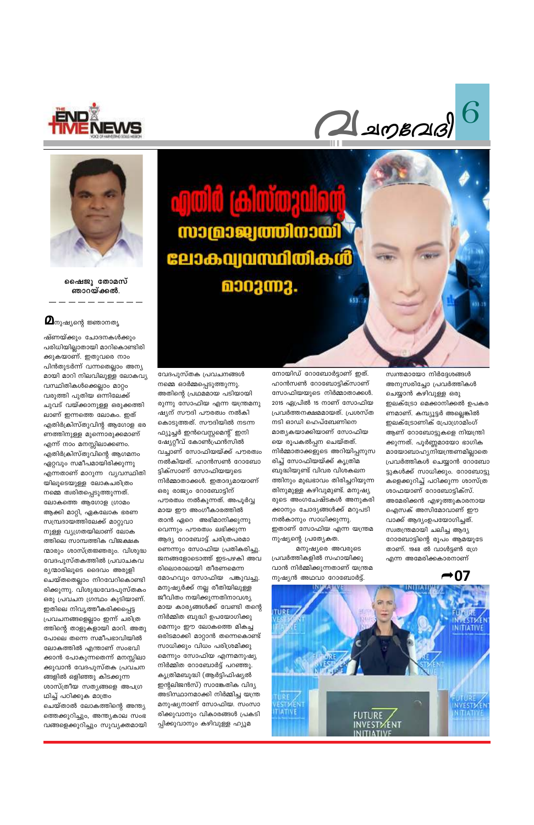





ഷൈജു തോമസ് ഞാറയ്ക്കൽ.

#### $\boldsymbol{Q}$ നുഷ്യന്റെ ജ്ഞാനതൃ

ഷ്ണയ്ക്കും ചോദനകൾക്കും പരിധിയില്ലാതായി മാറികൊണ്ടിരി ക്കുകയാണ്. ഇതുവരെ നാം പിൻതുടർന്ന് വന്നതെല്ലാം അന്യ മായി മാറി നിലവിലുള്ള ലോകവ്യ വസ്ഥിതികൾക്കെല്ലാം മാറ്റം വരുത്തി പുതിയ ഒന്നിലേക്ക് ചുവട് വയ്ക്കാനുള്ള ഒരുക്കത്തി ലാണ് ഇന്നത്തെ ലോകം. ഇത് എതിർക്രിസ്തുവിന്റ ആഗോള ഭര ണത്തിനുള്ള മുന്നൊരുക്കമാണ് എന്ന് നാം മനസ്സിലാക്കണം. എതിർക്രിസ്തുവിന്റെ ആഗമനം ഏറ്റവും സമീപമായിരിക്കുന്നു എന്നതാണ് മാറുന്ന വ്യവസ്ഥിതി യിലൂടെയുള്ള ലോകചരിത്രം നമ്മെ ത്വരിതപ്പെടുത്തുന്നത്. ലോകത്തെ ആഗോള ഗ്രാമം ആക്കി മാറ്റി, ഏകലോക ഭരണ സമ്പ്രദായത്തിലേക്ക് മാറ്റുവാ നുള്ള വ്യഗ്രതയിലാണ് ലോക ത്തിലെ സാമ്പത്തിക വിജക്ഷക ന്മാരും ശാസ്ത്രജ്ഞരും. വിശുദ്ധ വേദപുസ്തകത്തിൽ പ്രവാചകവ ര്യന്മാരിലൂടെ ദൈവം അരുളി ചെയ്തതെല്ലാം നിറവേറികൊണ്ടി രിക്കുന്നു. വിശുദ്ധവേദപുസ്തകം ഒരു പ്രവചന ഗ്രന്ഥം കൂടിയാണ്. ഇതിലെ നിവൃത്തീകരിക്കപ്പെട്ട പ്രവചനങ്ങളെല്ലാം ഇന്ന് ചരിത്ര ത്തിന്റെ താളുകളായി മാറി. അതു പോലെ തന്നെ സമീപഭാവിയിൽ ലോകത്തിൽ എന്താണ് സംഭവി ക്കാൻ പോകുന്നതെന്ന് മനസ്സിലാ ക്കുവാൻ വേദപുസ്തക പ്രവചന ങ്ങളിൽ ഒളിഞ്ഞു കിടക്കുന്ന ശാസ്ത്രീയ സതൃങ്ങളെ അപഗ്ര ഥിച്ച് പഠിക്കുക മാത്രം ചെയ്താൽ ലോകത്തിന്റെ അന്ത്യ ത്തെക്കുറിച്ചും, അന്ത്യകാല സംഭ വങ്ങളെക്കുറിച്ചും സുവ്യക്തമായി

**cywid (clwwerdioù)** സാമ്രാജ്വത്തിനായി ലോകവ്യവസ്ഥിതികൾ മാറുന്നു.

വേദപുസ്തക പ്രവചനങ്ങൾ നമ്മെ ഓർമ്മപ്പെടുത്തുന്നു. അതിന്റെ പ്രഥമമായ പടിയായി രുന്നു സോഫിയ എന്ന യന്ത്രമനു ഷ്യന് സൗദി പൗരത്വം നൽകി കൊടുത്തത്. സൗദിയിൽ നടന്ന ഫ്യൂച്ചർ ഇൻവെസ്റ്റമെന്റ് ഇനി ഷ്യേറ്റീവ് കോൺഫ്രൻസിൽ വച്ചാണ് സോഫിയയ്ക്ക് പൗരത്വം നൽകിയത്. ഹാൻസൺ റോബോ ട്ടിക്സാണ് സോഫിയയുടെ നിർമ്മാതാക്കൾ. ഇതാദ്യമായാണ് ഒരു രാജ്യം റോബോട്ടിന് പൗരത്വം നൽകുന്നത്. അപൂർവ്വ മായ ഈ അംഗീകാരത്തിൽ താൻ ഏറെ അഭിമാനിക്കുന്നു വെന്നും പൗരത്വം ലഭിക്കുന്ന ആദ്യ റോബോട്ട് ചരിത്രപരമാ ണെന്നും സോഫിയ പ്രതികരിച്ചു. ജനങ്ങളോടൊത്ത് ഇടപഴകി അവ രിലൊരാലായി തീരണമെന്ന മോഹവും സോഫിയ പങ്കുവച്ചു. മനുഷ്യർക്ക് നല്ല രീതിയിലുള്ള ജീവിതം നയിക്കുന്നതിനാവശ്യ മായ കാര്യങ്ങൾക്ക് വേണ്ടി തന്റെ നിർമ്മിത ബുദ്ധി ഉപയോഗിക്കു മെന്നും ഈ ലോകത്തെ മികച്ച ഒരിടമാക്കി മാറ്റാൻ തന്നെകൊണ്ട് സാധിക്കും വിധം പരിശ്രമിക്കു മെന്നും സോഫിയ എന്നമനുഷ്യ നിർമ്മിത റോബോർട്ട് പറഞ്ഞു. കൃത്രിമബുദ്ധി (ആർട്ടിഫിഷ്യൽ ഇന്റലിജൻസ്) സാങ്കേതിക വിദ്യ അടിസ്ഥാനമാക്കി നിർമ്മിച്ച യന്ത്ര മനുഷ്യനാണ് സോഫിയ. സംസാ രിക്കുവാനും വികാരങ്ങൾ പ്രകടി പ്പിക്കുവാനും കഴിവുള്ള ഹ്യൂമ

നോയിഡ് റോബോർട്ടാണ് ഇത്. ഹാൻസൺ റോബോട്ടിക്സാണ് സോഫിയയുടെ നിർമ്മാതാക്കൾ. 2015 ഏപ്രിൽ 15 നാണ് സോഫിയ പ്രവർത്തനക്ഷമമായത്. പ്രശസ്ത നടി ഓഡി ഹെപ്ബേണിനെ മാത്യകയാക്കിയാണ് സോഫിയ യെ രൂപകൽപ്പന ചെയ്തത്. നിർമ്മാതാക്കളുടെ അറിയിപ്പനുസ രിച്ച് സോഫിയയ്ക്ക് കൃത്രിമ ബുദ്ധിയുണ്ട് വിവര വിശകലന ത്തിനും മുഖഭാവം തിരിച്ചറിയുന്ന തിനുമുള്ള കഴിവുമുണ്ട്. മനുഷ്യ രുടെ അംഗചേഷ്ടകൾ അനുകരി ക്കാനും ചോദ്യങ്ങൾക്ക് മറുപടി നൽകാനും സാധിക്കുന്നു. ഇതാണ് സോഫിയ എന്ന യന്ത്രമ നുഷ്യന്റെ പ്രത്യേകത.

653

മനുഷ്യരെ അവരുടെ പ്രവർത്തികളിൽ സഹായിക്കു വാൻ നിർമ്മിക്കുന്നതാണ് യന്ത്രമ നുഷ്യൻ അഥവാ റോബോർട്ട്.

സ്വന്തമായോ നിർദ്ദേശങ്ങൾ അനുസരിച്ചോ പ്രവർത്തികൾ ചെയ്യാൻ കഴിവുള്ള ഒരു ഇലക്ട്രോ മെക്കാനിക്കൽ ഉപകര ണമാണ്. കമ്പ്യൂട്ടർ അല്ലെങ്കിൽ ഇലക്ട്രോണിക് പ്രോഗ്രാമിംഗ് ആണ് റോബോട്ടുകളെ നിയന്ത്രി ക്കുന്നത്. പൂർണ്ണമായോ ഭാഗിക മായോബാഹ്യനിയന്ത്രണമില്ലാതെ പ്രവർത്തികൾ ചെയ്യാൻ റോബോ ട്ടുകൾക്ക് സാധിക്കും. റോബോട്ടു കളെക്കുറിച്ച് പഠിക്കുന്ന ശാസ്ത്ര ശാഫയാണ് റോബോട്ടിക്സ്. അമേരിക്കൻ എഴുത്തുകാരനായ ഐസക് അസിമോവാണ് ഈ വാക്ക് ആദ്യംഉപയോഗിച്ചത്. സ്വതന്ത്രമായി ചലിച്ച ആദ്യ റോബോട്ടിന്റെ രൂപം ആമയുടേ താണ്. 1948 ൽ വാൾട്ടൺ ഗ്രേ എന്ന അമേരിക്കകാരനാണ്

 $\rightarrow 07$ 

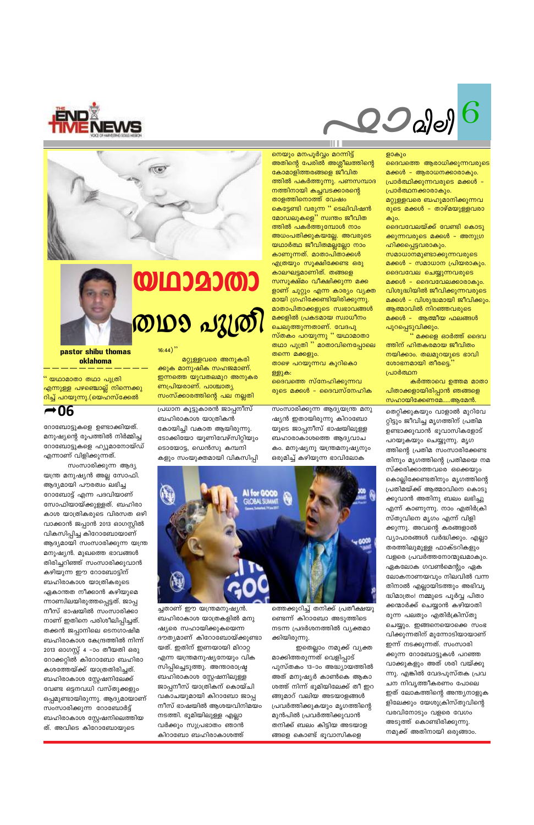കളും സംയുക്തമായി വികസിപ്പി സംസാരിക്കുന്ന ആദ്യ യന്ത്ര മനുഷ്യൻ അല്ല സോഫി. ആദ്യമായി പൗരത്വം ലഭിച്ച റോബോട്ട് എന്ന പദവിയാണ് സോഫിയായ്ക്കുള്ളത്. ബഹിരാ കാശ യാത്രികരുടെ വിരസത ഒഴി വാക്കാൻ ജപ്പാൻ 2013 ഓഗസ്റ്റിൽ വികസിപ്പിച്ച കിറോബോയാണ് ആദ്യമായി സംസാരിക്കുന്ന യന്ത്ര മനുഷ്യൻ. മുഖത്തെ ഭാവങ്ങൾ തിരിച്ചറിഞ്ഞ് സംസാരിക്കുവാൻ കഴിയുന്ന ഈ റോബോട്ടിന് ബഹിരാകാശ യാത്രികരുടെ ഏകാന്തത നീക്കാൻ കഴിയുമെ ന്നാണ്വിലയിരുത്തപ്പെട്ടത്. ജാപ്പ നീസ് ഭാഷയിൽ സംസാരിക്കാ ബഹിരാകാശ യാത്രകളിൽ മനു നാണ് ഇതിനെ പരിശീലിപ്പിച്ചത്. തക്കൻ ജപ്പാനിലെ ടെനഗാഷിമ ദൗത്യമാണ് കിറോബോയ്ക്കുണ്ടാ ബഹിരാകാശ കേന്ദ്രത്തിൽ നിന്ന് യത്. ഇതിന് ഇണയായി മിറാറ്റ 2013 ഓഗസ്റ്റ് 4 –ാം തീയതി ഒരു എന്ന യന്ത്രമനുഷ്യനേയും വിക റോക്കറ്റിൽ കിറോബോ ബഹിരാ സിപ്പിച്ചെടുത്തു. അന്താരാഷ്ട്ര കശത്തേയ്ക്ക് യാത്രതിരിച്ചത്. ബഹിരാകാശ സ്റ്റേഷനിലുള്ള ബഹിരാകാശ സ്റ്റേഷനിലേക്ക് ജാപ്പനീസ് യാത്രികന് കൊയ്ചി വേണ്ട ഒട്ടനവധി വസ്തുക്കളും വകാചയുമായി കിറാബോ ജാപ്പ ഒപ്പമുണ്ടായിരുന്നു. ആദ്യമായാണ് നീസ് ഭാഷയിൽ ആശയവിനിമയം സംസാരിക്കുന്ന റോബോർട്ട് നടത്തി. ഭൂമിയിലുള്ള എല്ലാ ബഹിരാകാശ സ്റ്റേഷനിലെത്തിയ വർക്കും സുപ്രഭാതം ഞാൻ ത്. അവിടെ കിറോബോയുടെ

റോബോട്ടുകളെ ഉണ്ടാക്കിയത്. മനുഷ്യന്റെ രൂപത്തിൽ നിർമ്മിച്ച റോബോട്ടുകളെ ഹ്യൂമാനോയ്ഡ് എന്നാണ് വിളിക്കുന്നത്.

" യഥാമാതാ തഥാ പുത്രി എന്നുള്ള പഴഞ്ചൊല്ല് നിന്നെക്കു <u>റിച്ച് പറയുന്നു.(യെഹസ്ക്കേൽ</u>

 $-06$ 

pastor shibu thomas oklahoma



മറ്റുള്ളവരെ അനുകരി

ക്കുക മാനുഷിക സഹജമാണ്.

ണപ്രിയരാണ്. പാശ്ചാത്യ

ബഹിരാകാശ യാത്രികൻ

<mark>ഇന്നത്തെ യുവതലമുറ അനുകര</mark>

സംസ്ക്കാരത്തിന്റെ പല നല്ലതി

പ്രധാന കൂട്ടു<mark>കാരൻ ജാപ്പന</mark>ീസ്

കോയിച്ചി വകാത ആയിരുന്നു.

ടൊയോട്ട, ഡെൻസു കമ്പനി

ച്ചതാണ് ഈ യന്ത്രമനുഷ്യൻ.

ഷ്യരെ സഹായിക്കുകയെന്ന

കിറാബോ ബഹിരാകാശത്ത്

ടോക്കിയോ യൂണിവേഴ്സിറ്റിയും

**AI for GOOD**<br>GIOBAL SUMMIT



ള്ളുക: ദൈവത്തെ സ്നേഹിക്കുന്നവ രുടെ മക്കൾ – ദൈവസ്നേഹിക

ത്തിൽ പകർത്തുന്നു. പണസമ്പാദ നത്തിനായി കച്ചവടക്കാരന്റെ താളത്തിനൊത്ത് വേഷം <mark>കെട്ടേണ്ടി വരുന്ന '' ടെലിവിഷൻ</mark> മോഡലുകളെ'' സ്വന്തം ജീവിത ത്തിൽ പകർത്തുമ്പോൾ നാം അധംപതിക്കുകയല്ലേ. അവരുടെ യഥാർത്ഥ ജീവിതമല്ലല്ലോ നാം കാണുന്നത്. മാതാപിതാക്കൾ എത്രയും സൂക്ഷിക്കേണ്ട ഒരു കാലഘട്ടമാണിത്. തങ്ങളെ സസൂക്ഷ്മം വീക്ഷിക്കുന്ന മക്ക ളാണ് ചുറ്റും എന്ന കാര്യം വ്യക്ത മായി ഗ്രഹിക്കേണ്ടിയിരിക്കുന്നു. മാതാപിതാക്കളുടെ സ്വഭാവങ്ങൾ മക്കളിൽ പ്രകടമായ സ്വാധീനം ചെലുത്തുന്നതാണ്. വേദപു സ്തകം പറയുന്നു '' യഥാമാതാ തഥാ പുത്രി " മാതാവിനെപ്പോലെ തന്നെ മക്കളും. താഴെ പറയുന്നവ കുറികൊ

<mark>നെയും മനപൂർവ്വം മറന്നിട്ട്</mark>

കോമാളിത്തരങ്ങളെ ജീവിത

അതിന്റെ പേരിൽ അശ്ലീലത്തിന്റെ

കർത്താവെ ഉത്തമ മാതാ പിതാക്കളായിരിപ്പാൻ ഞങ്ങളെ സഹായിക്കേണമേ.....ആമേൻ. തെറ്റിക്കുകയും വാളാൽ മുറിവേ റ്റിട്ടും ജീവിച്ച മൃഗത്തിന് പ്രതിമ ഉണ്ടാക്കുവാൻ ഭൂവാസികളോട് പറയുകയും ചെയ്യുന്നു. മൃഗ ത്തിന്റെ പ്രതിമ സംസാരിക്കേണ്ട തിനും മൃഗത്തിന്റെ പ്രതിമയെ നമ സ്ക്കരിക്കാത്തവരെ ഒക്കെയും കൊല്ലിക്കേണ്ടതിനും മൃഗത്തിന്റെ പ്രതിമയ്ക്ക് ആത്മാവിനെ കൊടു ക്കുവാൻ അതിനു ബലം ലഭിച്ചു എന്ന് കാണുന്നു. നാം എതിർക്രി സ്തുവിനെ മൃഗം എന്ന് വിളി ക്കുന്നു. അവന്റെ കരങ്ങളാൽ വ്യാപാരങ്ങൾ വർദ്ധിക്കും. എല്ലാ തരത്തിലുമുള്ള ഫാക്ടറികളും വളരെ പ്രവർത്തനോന്മുഖമാകും. ഏകലോക ഗവൺമെന്റും ഏക ലോകനാണയവും നിലവിൽ വന്ന തിനാൽ എല്ലായിടത്തും അഭിവൃ ദ്ധിമാത്രം! നമ്മുടെ പൂർവ്വ പിതാ ന്മാർക്ക് ചെയ്യാൻ കഴിയാതി രുന്ന പലതും എതിർക്രിസ്തു ചെയ്യും. ഇങ്ങനെയൊക്കെ സംഭ വിക്കുന്നതിന് മുന്നോടിയായാണ് ഇന്ന് നടക്കുന്നത്. സംസാരി ക്കുന്ന റോബോട്ടുകൾ പറഞ്ഞ വാക്കുകളും അത് ശരി വയ്ക്കു ന്നു. എങ്കിൽ വേദപുസ്തക പ്രവ ചന നിവൃത്തീകരണം പോലെ ഇത് ലോകത്തിന്റെ അന്ത്യനാളുക ളിലേക്കും യേശുക്രിസ്തുവിന്റെ വരവിനോടും വളരെ വേഗം അടുത്ത് കൊണ്ടിരിക്കുന്നു. നമുക്ക് അതിനായി ഒരുങ്ങാം.

പ്രാർത്ഥന

പുറപ്പെടുവിക്കും.<br>" മക്കളെ ഓർത്ത് ദൈവ ത്തിന് ഹിതകരമായ ജീവിതം നയിക്കാം. തലമുറയുടെ ഭാവി ശോഭനമായി തീരട്ടെ.

ഹിക്കപ്പെട്ടവരാകും. സമാധാനമുണ്ടാക്കുന്നവരുടെ മക്കൾ – സമാധാന പ്രിയരാകും. ദൈവവേല ചെയ്യുന്നവരുടെ മക്കൾ – ദൈവവേലക്കാരാകും. വിശുദ്ധിയിൽ ജീവിക്കുന്നവരുടെ മക്കൾ – വിശുദ്ധമായി ജീവിക്കും. ആത്മാവിൽ നിറഞ്ഞവരുടെ മക്കൾ – ആത്മീയ ഫലങ്ങൾ

കും. ദൈവവേലയ്ക്ക് വേണ്ടി കൊടു ക്കുന്നവരുടെ മക്കൾ – അനുഗ്ര

പ്രാർത്ഥനക്കാരാകും. മറ്റുള്ളവരെ ബഹുമാനിക്കുന്നവ രുടെ മക്കൾ – താഴ്മയുള്ളവരാ

ളാകും ദൈവത്തെ ആരാധിക്കുന്നവരുടെ മക്കൾ - ആരാധനക്കാരാകും. പ്രാർത്ഥിക്കുന്നവരുടെ മക്കൾ –





ത്തെക്കുറിച്ച് തനിക്ക് പ്രതീക്ഷയു ണ്ടെന്ന് കിറാബോ അടുത്തിടെ നടന്ന പ്രദർശനത്തിൽ വ്യക്തമാ ക്കിയിരുന്നു.

ഇതെല്ലാം നമുക്ക് വ്യക്ത മാക്കിത്തരുന്നത് വെളിപ്പാട് പുസ്തകം 13–ാം അദ്ധ്യായത്തിൽ അത് മനുഷ്യർ കാൺകെ ആകാ ശത്ത് നിന്ന് ഭൂമിയിലേക്ക് തീ ഇറ ങ്ങുമാറ് വലിയ അടയാളങ്ങൾ പ്രവർത്തിക്കുകയും മൃഗത്തിന്റെ മുൻപിൽ പ്രവർത്തിക്കുവാൻ തനിക്ക് ബലം കിട്ടിയ അടയാള ങ്ങളെ കൊണ്ട് ഭൂവാസികളെ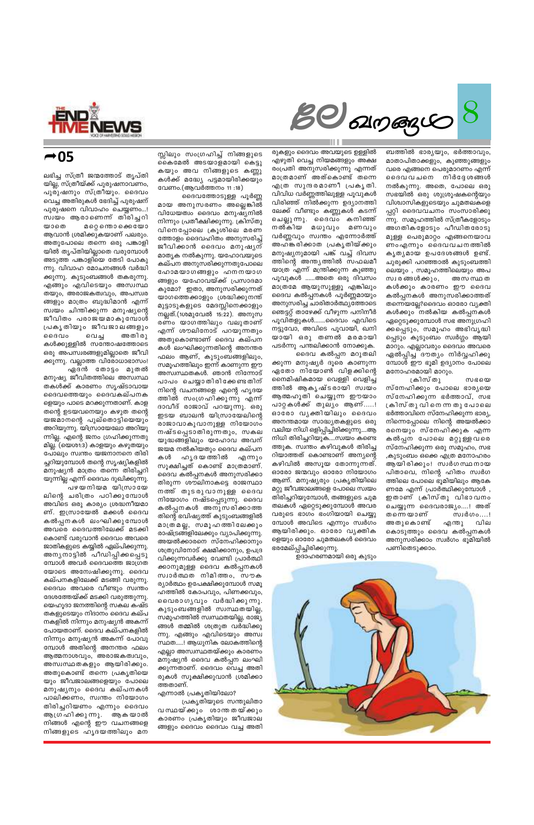$SO$  surgers  $|$ 

ബത്തിൽ ഭാര്യയും, ഭർത്താവും, മാതാപിതാക്കളും, കുഞ്ഞുങ്ങളും വരെ എങ്ങനെ പെരുമാറണം എന്ന് ദൈവവചനെ നിർദ്ദേശങ്ങൾ നൽകുന്നു. അതെ, പോലെ ഒരു സഭയിൽ ഒരു ശുശ്രൂഷകന്റെയും വിശ്വാസികളുടെയും ചുമതലകളെ പ്പറ്റി ദൈവവചനം സംസാരിക്കു ന്നു. സമൂഹത്തിൽ സ്ത്രീകളോടും അഗതികളോടും പീഡിതരോടു മുള്ള പെരുമാറ്റം എങ്ങനെയാവ ണം എന്നും ദൈവവചനത്തിൽ കൃതൃമായ ഉപദേശങ്ങൾ ഉണ്ട്. ചുരുക്കി പറഞ്ഞാൽ കുടുംബത്തി ലെയും , സമൂഹത്തിലെയും അപ സ്വരങ്ങൾക്കും, അസ സ്ഥ ത കൾക്കും കാരണം ഈ ദൈവ കൽപ്പനകൾ അനുസരിക്കാത്തത് തന്നെയല്ലേ?ദൈവം ഓരോ വ്യക്തി കൾക്കും നൽകിയ കൽപ്പനകൾ ഏറ്റെടുക്കുമ്പോൾ സഭ അനുഗ്രഹി ക്കപ്പെടും, സമൂഹം അഭിവൃദ്ധി പ്പെടും കുടുംബം സ്വർഗ്ഗം ആയി മാറും. എല്ലാവരും ദൈവം അവരെ ഏൽപ്പിച്ച ദൗത്യം നിർവ്വഹിക്കു മ്പോൾ ഈ ഭൂമി ഉദ്യാനം പോലെ മനോഹരമായി മാറും.

ക്രിസ് തു ൜ഭയെ സ്നേഹിക്കും പോലെ ഭാര്യയെ സ്നേഹിക്കുന്ന ഭർത്താവ്, സഭ ക്രിസ് തു വി നെ ന്ന തു പോലെ ഭർത്താവിനെ സ്നേഹിക്കുന്ന ഭാര്യ, നിന്നെപ്പോലെ നിന്റെ അയൽക്കാ രനെയും സ്നേഹിക്കുക എന്ന കൽപ്പന പോലെ മറ്റുള്ളവരെ സ്നേഹിക്കുന്ന ഒരു സമൂഹം, സഭ ,കുടുംബം ഒക്കെ എത്ര മനോഹരം ആയിരിക്കും! സ്വർഗസ്ഥനായ പിതാവെ, നിന്റെ ഹിതം സ്വർഗ ത്തിലെ പോലെ ഭൂമിയിലും ആകേ ണമേ എന്ന് പ്രാർത്ഥിക്കുമ്പോൾ , ഇതാണ് ക്രിസ്തു വിഭാവനം ചെയ്യുന്ന ദൈവരാജ്യം....! അത് തന്നെ യാണ് സ്വർഗം....! അതുകൊണ്ട് വില എന്തു കൊടുത്തും ദൈവ കൽപ്പനകൾ അനുസരിക്കാം സ്വർഗം ഭൂമിയിൽ പണിതെടുക്കാം.

രുകളും ദൈവം അവയുടെ ഉള്ളിൽ എഴുതി വെച്ച നിയമങ്ങളും അക്ഷ രംപ്രതി അനുസരിക്കുന്നു എന്നത് മാത്രമാണ് അത്കൊണ്ട് തന്നെ എത്ര സുന്ദരമാണീ പ്രകൃതി. വിവിധ വർണ്ണത്തിലുള്ള പൂവുകൾ വിരിഞ്ഞ് നിൽക്കുന്ന ഉദ്യാനത്തി ലേക്ക് വീണ്ടും കണ്ണുകൾ കടന്ന് ചെല്ലുന്നു. ദൈവം കനിഞ്ഞ് നൽകിയ മധുവും മണവും വർണ്ണവും സ്വന്തം എന്നോർത്ത് അഹങ്കരിക്കാത പ്രകൃതിയ്ക്കും മനുഷ്യനുമായി പങ്ക് വച്ച് ദിവസ ത്തിന്റെ അന്ത്യത്തിൽ സഫലമീ യാത്ര എന്ന് മന്ത്രിക്കുന്ന കുഞ്ഞു പൂവുകൾ ......അതെ ഒരു ദിവസം മാത്രമേ ആയുസുള്ളൂ എങ്കിലും ദൈവ കൽപ്പനകൾ പൂർണ്ണമായും അനുസരിച്ച ചാരിതാർത്ഥ്യത്തോടെ ഞെട്ടറ്റ് താഴേക്ക് വീഴുന്ന പനിനീർ പൂവിതളുകൾ.......ദൈവം എവിടെ നട്ടുവോ, അവിടെ പൂവായി, ഖനി യായി ഒരു തണൽ മരമായി പടർന്നു പന്തലിക്കാൻ നോക്കുക.

ദൈവ കൽപ്പന മറുതലി ക്കുന്ന മനുഷ്യർ ദൂരെ കാണുന്ന ഏതോ നിയോൺ വിളക്കിന്റെ നൈമിഷികമായ വെള്ളി വെളിച്ച ത്തിൽ ആകൃഷ്ടരായി സ്വയം ആത്മഹൂതി ചെയ്യുന്ന ഈയാം പാറ്റകൾക്ക് തുല്യം ആണ്.....! ഓരോ വൃക്തിയിലും ദൈവം അനന്തമായ സാദ്ധ്യതകളുടെ ഒരു വലിയ നിധി ഒളിപ്പിച്ചിരിക്കുന്നു....ആ നിധി തിരിച്ചറിയുക….സ്വയം കണ്ടെ ത്തുക. സ്വന്തം കഴിവുകൾ തിരിച്ച റിയാത്തത് കൊണ്ടാണ് അന്യന്റെ കഴിവിൽ അസൂയ തോന്നുന്നത്. ഓരോ ജന്മവും ഓരോ നിയോഗം ആണ്. മനുഷ്യരും പ്രകൃതിയിലെ മറ്റു ജീവജാലങ്ങളെ പോലെ സ്വയം തിരിച്ചറിയുമ്പോൾ, തങ്ങളുടെ ചുമ തലകൾ ഏറ്റെടുക്കുമ്പോൾ അവര വരുടെ ഭാഗം ഭംഗിയായി ചെയ്യു മ്പോൾ അവിടെ എന്നും സ്വർഗം ആയിരിക്കും. ഓരോ വൃക്തിക ളെയും ഓരോ ചുമതലകൾ ദൈവം ഭരമേല്പ്പിച്ചിരിക്കുന്നു.

ഉദാഹരണമായി ഒരു കുടും

സ്സിലും സംഗ്രഹിച്ച് നിങ്ങളുടെ കൈമേൽ അടയാളമായി കെട്ടു കയും അവ നിങ്ങളുടെ കണ്ണു കൾക്ക് മദ്ധ്യേ പട്ടമായിരിക്കയും വേണം.(ആവർത്തനം 11 :18) ദൈവത്തോടുള്ള പൂർണ്ണ

മായ അനുസരണം അല്ലെങ്കിൽ വിധേയത്വം ദൈവം മനുഷ്യനിൽ നിന്നും പ്രതീക്ഷിക്കുന്നു. ക്രിസ്തു വിനെപ്പോലെ ക്രൂശിലെ മരണ ത്തോളം ദൈവഹിതം അനുസരിച്ച് ജീവിക്കാൻ ദൈവം മനുഷൃന് മാതൃക നൽകുന്നു. യഹോവയുടെ കല്പന അനുസരിക്കുന്നതുപോലെ ഹോമയാഗങ്ങളും ഹനനയാഗ ങ്ങളും യഹോവയ്ക്ക് പ്രസാദമാ കുമോ? ഇതാ, അനുസരിക്കുന്നത് യാഗത്തെക്കാളും ശ്രദ്ധിക്കുനന്ത് മുട്ടാടുകളുടെ മേദസ്സിനെക്കാളും നല്ലത്.(1ശമുവേൽ 15:22). അനുസ രണം യാഗത്തിലും വലുതാണ് എന്ന് ശൗലിനോട് പറയുന്നതും അതുകൊണ്ടാണ് ദൈവ കല്പന കൾ ലംഘിക്കുന്നതിന്റെ അനന്തര ഫലം ആണ്, കുടുംബങ്ങളിലും, സമൂഹത്തിലും ഇന്ന് കാണുന്ന ഈ അസ്വസ്ഥതകൾ. ഞാൻ നിന്നോട് പാപം ചെയ്യാതിരിക്കേണ്ടതിന് നിന്റെ വചനങ്ങളെ എന്റെ ഹൃദയ ത്തിൽ സംഗ്രഹിക്കുന്നു എന്ന് ദാവീദ് രാജാവ് പറയുന്നു. ഒരു ഇടയ ബാലൻ യിസ്രായേലിന്റെ രാജാവാകുവാനുള്ള നിയോഗം നഷ്ടപ്പെടാതിരുന്നതും, സകല യുദ്ധങ്ങളിലും യഹോവ അവന് ജയമ നൽകിയതും ദൈവ കല്പന കൾ ഹൃദയത്തിൽ എന്നും സൂക്ഷിച്ചത് കൊണ്ട് മാത്രമാണ്. ദൈവ കൽപ്പനകൾ അനുസരിക്കാ തിരുന്ന ശൗലിനാകട്ടെ രാജസ്ഥാ നത്ത് തുടരുവാനുള്ള ദൈവ നിയോഗം നഷ്ടപ്പെടുന്നു. ദൈവ കൽപ്പനകൾ അനുസരിക്കാത്ത തിന്റെ ഭവിഷ്യത്ത് കുടുംബങ്ങളിൽ മാത്ര മല്ല, സമൂഹത്തിലേക്കും രാഷ്ട്രങ്ങളിലേക്കും വ്യാപിക്കുന്നു. അയൽക്കാരനെ സ്നേഹിക്കാനും ശത്രുവിനോട് ക്ഷമിക്കാനും, ഉപദ്ര വിക്കുന്നവർക്കു വേണ്ടി പ്രാർത്ഥി ക്കാനുമുള്ള ദൈവ കൽപ്പനകൾ സ്വാർത്ഥത നിമിത്തം, സൗക ര്യാർത്ഥം ഉപേക്ഷിക്കുമ്പോൾ സമൂ ഹത്തിൽ കോപവും, പിണക്കവും, വൈരാഗൃവും വർദ്ധിക്കുന്നു. കുടുംബങ്ങളിൽ സ്വസ്ഥതയില്ല, സമൂഹത്തിൽ സ്വസ്ഥതയില്ല, രാജ്യ ങ്ങൾ തമ്മിൽ ശത്രുത വർദ്ധിക്കു ന്നു. എങ്ങും എവിടെയും അസ്വ സ്ഥത.....! ആധുനിക ലോകത്തിന്റെ എല്ലാ അസ്വസ്ഥതയ്ക്കും കാരണം മനു്ഷ്യൻ ദൈവ കൽപ്പന ലംഘി ക്കുന്നതാണ്. ദൈവം വെച്ച അതി രുകൾ സൂക്ഷിക്കുവാൻ ശ്രമിക്കാ ത്തതാണ്.



 $-05$ 

ലഭിച്ച സ്ത്രീ ജന്മത്തോട് തൃപ്തി യില്ല, സ്ത്രീയ്ക്ക് പുരുഷനാവണം, പുരുഷനും സ്ത്രീയും. ദൈവം വെച്ച അതിരുകൾ ഭേദിച്ച് പുരുഷന് പുരുഷനെ വിവാഹം ചെയ്യണം...! സ്വയം ആരാണെന്ന് തിരിച്ചറി മറ്റെ ന്തൊക്കെയോ യാതെ ആവാൻ ശ്രമിക്കുകയാണ് പലരും. അതുപോലെ തന്നെ ഒരു പങ്കാളി യിൽ തൃപ്തിയില്ലാതെ വരുമ്പോൾ അടുത്ത പങ്കാളിയെ തേടി പോകു ന്നു. വിവാഹ മോചനങ്ങൾ വർദ്ധി ക്കുന്നു. കുടുംബങ്ങൾ തകരുന്നു. എങ്ങും എവിടെയും അസ്വസ്ഥ തയും, അരാജകത്വവും, അപസ്വര ങ്ങളും മാത്രം ബുദ്ധിമാൻ എന്ന് സ്വയം ചിന്തിക്കുന്ന മനുഷ്യന്റെ ജീവിതം പരാജയമാകുമ്പോൾ പ്രകൃതിയും ജീവജാലങ്ങളും ൈദവം வெച്ച അതിരു കൾക്കുള്ളിൽ സന്തോഷത്തോടെ ഒരു അപസ്വരങ്ങളുമില്ലാതെ ജീവി ക്കുന്നു. വല്ലാത്ത വിരോധാഭാസം! ഏദൻ തോട്ടം മുതൽ

മനുഷ്യ ജീവിതത്തിലെ അസ്വസ്ഥ തകൾക്ക് കാരണം സൃഷ്ടാവായ ദൈവത്തെയും ദൈവകല്പനക ളെയും പാടെ മറക്കുന്നതാണ്. കാള തന്റെ ഉടയവനെയും കഴുത തന്റെ യജമാനന്റെ പുല്തൊട്ടിയെയും അറിയുന്നു. യിസ്രായേലോ അറിയു ന്നില്ല. എന്റെ ജനം ഗ്രഹിക്കുന്നതു മില്ല. (യെശ1:3) കാളയും കഴുതയും പോലും സ്വന്തം യജനാനനെ തിരി ച്ചറിയുമ്പോൾ തന്റെ സൃഷ്യികളിൽ മനുഷ്യൻ മാത്രം തന്നെ തിരിച്ചറി യുന്നില്ല എന്ന് ദൈവം ദുഖിക്കുന്നു. പഴയനിയമ യിസ്രായേ

ലിന്റെ ചരിത്രം പഠിക്കുമ്പോൾ അവിടെ ഒരു കാര്യം ശ്രദ്ധനീയമാ ണ്. ഇസ്രായേൽ മക്കൾ ദൈവ കൽപ്പനകൾ ലംഘിക്കുമ്പോൾ അവരെ ദൈവത്തിലേക്ക് മടക്കി കൊണ്ട് വരുവാൻ ദൈവം അവരെ ജാതികളുടെ കയ്യിൽ ഏല്പിക്കുന്നു. അന്യനാട്ടിൽ പീഡിപ്പിക്കപ്പെടു മ്പോൾ അവർ ദൈവത്തെ ജാഗ്രത യോടെ അന്വേഷിക്കുന്നു. ദൈവ കല്പനകളിലേക്ക് മടങ്ങി വരുന്നു. ദൈവം അവരെ വീണ്ടും സ്വന്തം ദേശത്തേയ്ക്ക് മടക്കി വരുത്തുന്നു. യെഹൂദാ ജനത്തിന്റെ സകല കഹ തകളുടെയും നിദാനം ദൈവ കല്പ നകളിൽ നിന്നും മനുഷ്യൻ അകന്ന് പോയതാണ്. ദൈവ കല്പനകളിൽ നിന്നും മനുഷ്യൻ അകന്ന് പോവു മ്പോൾ അതിന്റെ അനന്തര ഫലം ആത്മനാശവും, അരാജകത്വവും, അസ്വസ്ഥതകളും ആയിരിക്കും. അതുകൊണ്ട് തന്നെ പ്രകൃതിയെ യും ജീവജാലങ്ങളെയും പോലെ മനുഷൃനും ദൈവ കല്പനകൾ പാലിക്കണം, സ്വന്തം നിയോഗം തിരിച്ചറിയണം എന്നും ദൈവം ആഗ്രഹിക്കുന്നു. ആകയാൽ നിങ്ങൾ എന്റെ ഈ വചനങ്ങളെ നിങ്ങളുടെ ഹൃദയത്തിലും മന

എന്നാൽ പ്രകൃതിയിലോ?

പ്രകൃതിയുടെ സന്തുലിതാ വസ്ഥയ്ക്കും ശാന്തതയ്ക്കും കാരണം പ്രകൃതിയും ജീവജാല ങ്ങളും ദൈവം ദൈവം വച്ച അതി

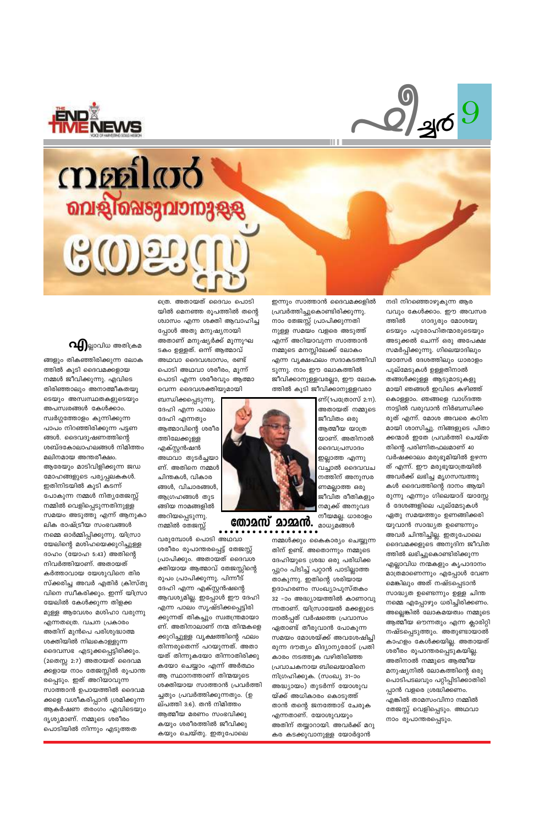



## mentaro **ബളിഷെടുവാനുളള**  $\mathfrak{S}(0)$



ങ്ങളും തികഞ്ഞിരിക്കുന്ന ലോക ത്തിൽ കൂടി ദൈവമക്കളായ നമ്മൾ ജീവിക്കുന്നു. എവിടെ തിരിഞ്ഞാലും അനാത്മീകതയു ടെയും അസ്വസ്ഥതകളുടെയും അപസ്വരങ്ങൾ കേൾക്കാം. സ്വർഗ്ഗത്തോളം കുന്നിക്കുന്ന പാപം നിറഞ്ഞിരിക്കുന്ന പട്ടണ ങ്ങൾ. ദൈവദൂഷണത്തിന്റെ ശബ്ദകോലാഹലങ്ങൾ നിമിത്തം മലിനമായ അന്തരീക്ഷം. ആരേയും മാടിവിളിക്കുന്ന ജഡ മോഹങ്ങളുടെ പര്യപ്പലകകൾ. ഇതിനിടയിൽ കൂടി കടന്ന് പോകുന്ന നമ്മൾ നിത്യതേജസ്സ് നമ്മിൽ വെളിപ്പെടുന്നതിനുള്ള സമയം അടുത്തു എന്ന് ആനുകാ ലിക രാഷ്ട്രീയ സംഭവങ്ങൾ നമ്മെ ഓർമ്മിപ്പിക്കുന്നു. യിസ്രാ യേലിന്റെ മശിഹയെക്കുറിച്ചുള്ള ദാഹം (യോഹ 5:43) അതിന്റെ നിവർത്തിയാണ്. അതായത് കർത്താവായ യേശുവിനെ തിര സ്ക്കരിച്ച അവർ എതിർ ക്രിസ്തു വിനെ സ്വീകരിക്കും. ഇന്ന് യിസ്രാ യേലിൽ കേൾക്കുന്ന തിളക്ക മുള്ള ആവേശം മശിഹാ വരുന്നു എന്നതത്രെ. വചന പ്രകാരം അതിന് മുൻപെ പരിശുദ്ധാത്മ ശക്തിയിൽ നിലകൊള്ളുന്ന ദൈവസഭ എടുക്കപ്പെട്ടിരിക്കും. (2തെസ്സ 2:7) അതായത് ദൈവമ ക്കളായ നാം തേജസ്സിൽ രൂപാന്ത രപ്പെടും. ഇത് അറിയാവുന്ന സാത്താൻ ഉപായത്തിൽ ദൈവമ ക്കളെ വശീകരിപ്പാൻ ശ്രമിക്കുന്ന ആകർഷണ തരംഗം എവിടെയും ദൃശ്യമാണ്. നമ്മുടെ ശരീരം പൊടിയിൽ നിന്നും എടുത്തത

ത്രെ. അതായത് ദൈവം പൊടി യിൽ മെനഞ്ഞ രുപത്തിൽ തന്റെ ശ്വാസം എന്ന ശക്തി ആവാഹിച്ച പ്പോൾ അതു മനുഷ്യനായി അതാണ് മനുഷ്യർക്ക് മൂന്നുഘ ടകം ഉള്ളത്. ഒന്ന് ആത്മാവ് അഥവാ ദൈവശ്വാസം, രണ്ട് പൊടി അഥവാ ശരീരം, മുന്ന് പൊടി എന്ന ശരീരവും ആത്മാ വെന്ന ദൈവശക്തിയുമായി

ബന്ധിക്കപ്പെടുന്നു. ദേഹി എന്ന പാലം ദേഹി എന്നതും ആത്മാവിന്റെ ശരീര ത്തിലേക്കുള്ള എക്സ്റ്റൻഷൻ അഥവാ തുടർച്ചയാ ണ്. അതിനെ നമ്മൾ ചിന്തകൾ, വികാര ങ്ങൾ, വിചാരങ്ങൾ, ആഗ്രഹങ്ങൾ തുട ങ്ങിയ നാമങ്ങളിൽ അറിയപ്പെടുന്നു. നമ്മിൽ തേജസ്സ്

വരുമ്പോൾ പൊടി അഥവാ ശരീരം രൂപാന്തരപ്പെട്ട് തേജസ്സ് പ്രാപിക്കും. അതായത് ദൈവശ ക്തിയായ ആത്മാവ് തേജസ്സിന്റെ രുപം പ്രാപിക്കുന്നു. പിന്നീട് ദേഹി എന്ന എക്സ്റ്റൻഷന്റെ ആവശ്യമില്ല. ഇപ്പോൾ ഈ ദേഹി എന്ന പാലം സൃഷ്ടിക്കപ്പെട്ടിരി ക്കുന്നത് തികച്ചും സ്വതന്ത്രമായാ ണ്. അതിനാലാണ് നന്മ തിന്മകളെ ക്കുറിച്ചുള്ള വൃക്ഷത്തിന്റെ ഫലം തിന്നരുതെന്ന് പറയുന്നത്. അതാ യത് തിന്നുകയോ തിന്നാതിരിക്കു കയോ ചെയ്യാം എന്ന് അർത്ഥം ആ സ്ഥാനത്താണ് തിന്മയുടെ ശക്തിയായ സാത്താൻ പ്രവർത്തി ച്ചതും പ്രവർത്തിക്കുന്നതും. (ഉ ല്പത്തി 3:6). തൻ നിമിത്തം ആത്മീയ മരണം സംഭവിക്കു കയും ശരീരത്തിൽ ജീവിക്കു കയും ചെയ്തു. ഇതുപോലെ

ഇന്നും സാത്താൻ ദൈവമക്കളിൽ പ്രവർത്തിച്ചുകൊണ്ടിരിക്കുന്നു. നാം തേജസ്സ് പ്രാപിക്കുന്നതി നുള്ള സമയം വളരെ അടുത്ത് എന്ന് അറിയാവുന്ന സാത്താൻ നമ്മുടെ മനസ്സിലേക്ക് ലോകം എന്ന വൃക്ഷഫലം സദാകടത്തിവി ടുന്നു. നാം ഈ ലോകത്തിൽ ജീവിക്കാനുള്ളവരല്ലാ, ഈ ലോക ത്തിൽ കൂടി ജീവിക്കാനുള്ളവരാ



തോമസ് മാമ്മൻ.

നമ്മൾക്കും കൈകാര്യം ചെയ്യുന്ന തിന് ഉണ്ട്. അതൊന്നും നമ്മുടെ ദേഹിയുടെ ശ്രദ്ധ ഒരു പരിധിക്ക പ്പുറം പിടിച്ച് പറ്റാൻ പാടില്ലാത്ത താകുന്നു. ഇതിന്റെ ശരിയായ ഉദാഹരണം സംഖ്യാപുസ്തകം 32 –ാം അദ്ധ്യായത്തിൽ കാണാവു ന്നതാണ്. യിസ്രായേൽ മക്കളുടെ നാൽപ്പത് വർഷത്തെ പ്രവാസം ഏതാണ്ട് തീരുവാൻ പോകുന്ന സമയം മോശയ്ക്ക് അവശേഷിച്ചി രുന്ന ദൗത്യം മിദ്യാന്യരോട് പ്രതി കാരം നടത്തുക വഴിതിരിഞ്ഞ പ്രവാചകനായ ബിലെയാമിനെ നിഗ്രഹിക്കുക. (സംഖ്യ 31–ാം അദ്ധ്യായം) തുടർന്ന് യോശുവ യ്ക്ക് അധികാരം കൊടുത്ത് താൻ തന്റെ ജനത്തോട് ചേരുക എന്നതാണ്. യോശുവയും അതിന് തയ്യാറായി. അവർക്ക് മറു കര കടക്കുവാനുള്ള യോർദ്ദാൻ

നദി നിറഞ്ഞൊഴുകുന്ന ആര വവും കേൾക്കാം. ഈ അവസര ത്തിൽ രാദ്യരും മോശയു ടെയും പുരോഹിതന്മാരുടെയും അടുക്കൽ ചെന്ന് ഒരു അപേക്ഷ സമർപ്പിക്കുന്നു. ഗിലെയാദിലും യാസേർ ദേശത്തിലും ധാരാളം പുല്മേടുകൾ ഉള്ളതിനാൽ തങ്ങൾക്കുള്ള ആടുമാടുകളു മായി ഞങ്ങൾ ഇവിടെ കഴിഞ്ഞ് കൊള്ളാം. ഞങ്ങളെ വാഗ്ദത്ത നാട്ടിൽ വരുവാൻ നിർബന്ധിക്ക രുത് എന്ന്. മോശ അവരെ കഠിന മായി ശാസിച്ചു. നിങ്ങളുടെ പിതാ ക്കന്മാർ ഇതേ പ്രവർത്തി ചെയ്ത തിന്റെ പരിണിതഫലമാണ് 40 വർഷക്കാലം മരുഭൂമിയിൽ ഉഴന്ന ത് എന്ന്. ഈ മരുഭൂയാത്രയിൽ അവർക്ക് ലഭിച്ച മൃഗസമ്പത്തു കൾ ദൈവത്തിന്റെ ദാനം ആയി രുന്നു എന്നും ഗിലെയാദ് യാസ്സേ ർ ദേശങ്ങളിലെ പുല്മേടുകൾ ഏതു സമയത്തും ഉണങ്ങിക്കരി യുവാൻ സാദ്ധ്യത ഉണ്ടെന്നും അവർ ചിന്തിച്ചില്ല. ഇതുപോലെ ദൈവമക്കളുടെ അനുദിന ജീവിത ത്തിൽ ലഭിച്ചുകൊണ്ടിരിക്കുന്ന എല്ലാവിധ നന്മകളും കൃപാദാനം മാത്രമാണെന്നും എപ്പോൾ വേണ മെങ്കിലും അത് നഷ്ടപ്പെടാൻ സാദ്ധ്യത ഉണ്ടെന്നും ഉള്ള ചിന്ത

അതായത് നമ്മുടെ ജീവിതം ഒരു ആത്മീയ യാത്ര യാണ്. അതിനാൽ ദൈവപ്രസാദം ഇല്ലാത്ത എന്നു വച്ചാൽ ദൈവവച നത്തിന് അനുസര ണമല്ലാത്ത ഒരു ജീവിത രീതികളും നമുക്ക് അനുവദ നീയമല്ല. ധാരാളം മാധ്യമങ്ങൾ

ണ്(1പത്രോസ് 2:11).

നമ്മെ എപ്പോഴും ധരിച്ചിരിക്കണം. അല്ലെങ്കിൽ ലോകമയത്വം നമ്മുടെ ആത്മീയ ഔന്നതും എന്ന ക്ലാരിറ്റി നഷ്ടപ്പെടുത്തും. അതുണ്ടായാൽ കാഹളം കേൾക്കയില്ല. അതായത് ശരീരം രൂപാന്തരപ്പെടുകയില്ല. അതിനാൽ നമ്മുടെ ആത്മീയ മനുഷ്യനിൽ ലോകത്തിന്റെ ഒരു പൊടിപടലവും പറ്റിപ്പിടിക്കാതിരി പ്പാൻ വളരെ ശ്രദ്ധിക്കണം. എങ്കിൽ താമസംവിനാ നമ്മിൽ തേജസ്സ് വെളിപ്പെടും. അഥവാ നാം രൂപാന്തരപ്പെടും.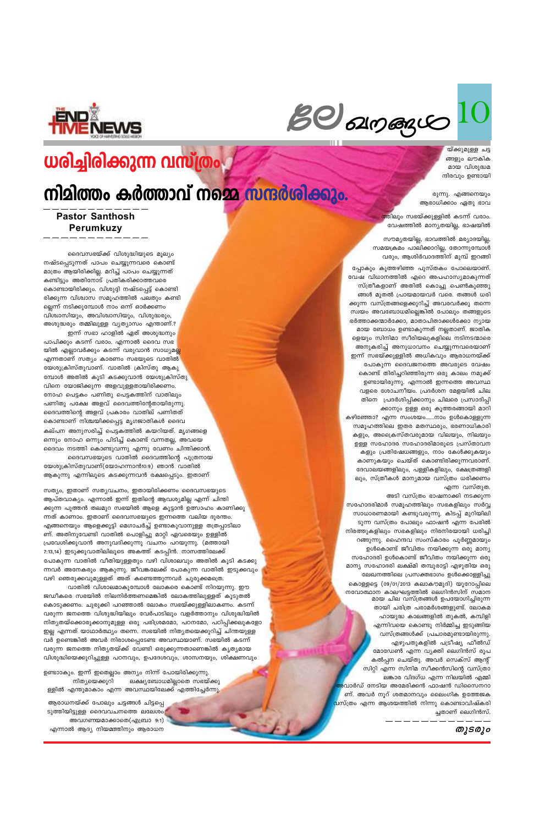$g_{\mathcal{O}}$  angay

യ്ക്കുമുള്ള ചട്ട ങ്ങളും ലൗകിക മായ വിശുദ്ധമ ന്ദിരവും ഉണ്ടായി

രുന്നു. എങ്ങനെയും ആരാധിക്കാം ഏതു ഭാവ

<mark>ത്തിലും സഭയ്ക്കുള്ളിൽ കടന്ന് വരാം.</mark> വേഷത്തിൽ മാന്യതയില്ല, ഭാഷയിൽ

സൗമ്യതയില്ല, ഭാവത്തിൽ മര്യാദയില്ല, സമയക്രമം പാലിക്കാറില്ല, തോന്നുമ്പോൾ വരും, ആശിർവാദത്തിന് മുമ്പ് ഇറങ്ങി

പ്പോകും കുത്തഴിഞ്ഞ പുസ്തകം പോലെയാണ്. വേഷ വിധാനത്തിൽ എറെ അപഹാസ്യമാകുന്നത് സ്ത്രീകളാണ് അതിൽ കൊച്ചു പെൺകുഞ്ഞു ങ്ങൾ മുതൽ പ്രായമായവർ വരെ. തങ്ങൾ ധരി ക്കുന്ന വസ്ത്രങ്ങളെക്കുറിച്ച് അവരവർക്കു തന്നെ സ്വയം അവബോധമില്ലെങ്കിൽ പോലും തങ്ങളുടെ ഭർത്താക്കന്മാർക്കോ, മാതാപിതാക്കൾക്കോ ന്യായ മായ ബോധം ഉണ്ടാകുന്നത് നല്ലതാണ്. ജാതിക ളെയും സിനിമാ സീരിയലുകളിലെ നടിനടന്മാരെ അനുകരിച്ച് അനുധാവനം ചെയ്യുന്നവരെയാണ് ഇന്ന് സഭയ്ക്കുള്ളിൽ അധികവും ആരാധനയ്ക്ക് പോകുന്ന ദൈവജനത്തെ അവരുടെ വേഷം കൊണ്ട് തിരിച്ചറിഞ്ഞിരുന്ന ഒരു കാലം നമുക്ക് ഉണ്ടായിരുന്നു. എന്നാൽ ഇന്നത്തെ അവസ്ഥ വളരെ ശോചനീയം. പ്രദർശന മേളയിൽ ചില തിനെ പ്രദർശിപ്പിക്കാനും ചിലരെ പ്രസാദിപ്പി ക്കാനും ഉള്ള ഒരു കൂത്തരങ്ങായി മാറി കഴിഞ്ഞോ? എന്ന സംശയം......നാം ഉൾകൊള്ളുന്ന സമൂഹത്തിലെ ഇതര മതസ്ഥരും, ഭരണാധികാരി കളും, അക്രൈസ്തവരുമായ വിലയും, നിലയും ഉള്ള സഹോദര സഹോദരിമാരുടെ പ്രസ്താവന കളും പ്രതിഷേധങ്ങളും, നാം കേൾക്കുകയും കാണുകയും ചെയ്ത് കൊണ്ടിരിക്കുന്നവരാണ്. ദേവാലയങ്ങളിലും, പള്ളികളിലും, ക്ഷേത്രങ്ങളി ലും, സ്ത്രീകൾ മാന്യമായ വസ്ത്രം ധരിക്കണം എന്ന വസ്തുത.

അടി വസ്ത്രം ഭാഷനാക്കി നടക്കുന്ന സഹോദരിമാർ സമൂഹത്തിലും സഭകളിലും സർവ്വ സാധാരണമായി കണ്ടുവരുന്നു. കിടപ്പ് മുറിയിലി ടുന്ന വസ്ത്രം പോലും ഫാഷൻ എന്ന പേരിൽ നിരത്തുകളിലും സഭകളിലും നിരനിരയായി ധരിച്ചി റങ്ങുന്നു. ഹൈന്ദവ സംസ്കാരം പൂർണ്ണമായും ഉൾകൊണ്ട് ജീവിതം നയിക്കുന്ന ഒരു മാന്യ സഹോദരി ഉൾകൊണ്ട് ജീവിതം നയിക്കുന്ന ഒരു മാന്യ സഹോദരി ലക്ഷ്മി തമ്പുരാട്ടി എഴുതിയ ഒരു ലേഖനത്തിലെ പ്രസക്തഭാഗം ഉൾക്കൊള്ളിച്ചു കൊള്ളട്ടെ (09/01/2013 കലാകൗമുദി) യൂറോപ്പിലെ നവോത്ഥാന കാലഘട്ടത്തിൽ ലെഗിൻസിന് സമാന മായ ചില വസ്ത്രങ്ങൾ ഉപയോഗിച്ചിരുന്ന തായി ചരിത്ര പരാമർശങ്ങളുണ്ട്. ലോകമ ഹായുദ്ധ കാലങ്ങളിൽ തുകൽ, കമ്പിളി എന്നിവയെ കൊണ്ടു നിർമ്മിച്ച ഇടുങ്ങിയ വസ്ത്രങ്ങൾക്ക് പ്രചാരമുണ്ടായിരുന്നു. എഴുപതുകളിൽ പട്രീഷ്യ ഫീൽഡ് മോഡേൺ എന്ന വ്യക്തി ലെഗിൻസ് രൂപ കൽപ്പന ചെയ്തു. അവർ സെക്സ് ആന്റ് സിറ്റി എന്ന സിനിമ സീക്കൻസിന്റെ വസ്ത്രാ ലങ്കാര വിദഗ്ധ എന്ന നിലയിൽ എമ്മി <mark>ം</mark>വാർഡ് നേടിയ അമേരിക്കൻ ഫാഷൻ ഡിസൈനറാ ണ്. അവർ നൂറ് ശതമാനവും ലൈംഗിക ഉത്തേജക വസ്ത്രം എന്ന ആശയത്തിൽ നിന്നു കൊണ്ടാവിഷ്കരി ച്ചതാണ് ലെഗിൻസ്.



## ധരിച്ചിരിക്കുന്ന വസ്ത്രം

## നിമിത്തം കർത്താവ് നമ്മെ സന്ദർശിക്കും.

**Pastor Santhosh** Perumkuzy

ദൈവസഭയ്ക്ക് വിശുദ്ധിയുടെ മൂല്യം നഷ്ടപ്പെടുന്നത് പാപം ചെയ്യുന്നവരെ കൊണ്ട് മാത്രം ആയിരിക്കില്ല. മറിച്ച് പാപം ചെയ്യുന്നത് കണ്ടിട്ടും അതിനോട് പ്രതികരിക്കാത്തവരെ കൊണ്ടായിരിക്കും. വിശുദ്ദി നഷ്ടപ്പെട്ട് കൊണ്ടി രിക്കുന്ന വിശ്വാസ സമൂഹത്തിൽ പലതും കണ്ടി ല്ലെന്ന് നടിക്കുമ്പോൾ നാം ഒന്ന് ഓർക്കണം വിശ്വാസിയും, അവിശ്വാസിയും, വിശുദ്ധരും, അശുദ്ധരും തമ്മിലുള്ള വ്യത്യാസം എന്താണ്.? ഇന്ന് സഭാ ഹാളിൽ ഏത് അശുദ്ധനും

പാപിക്കും കടന്ന് വരാം. എന്നാൽ ദൈവ സഭ യിൽ എല്ലാവർക്കും കടന്ന് വരുവാൻ സാധ്യമല്ല എന്നതാണ് സത്യം കാരണം സഭയുടെ വാതിൽ യേശുക്രിസ്തുവാണ്. വാതിൽ ക്രിസ്തു ആകു മ്പോൾ അതിൽ കൂടി കടക്കുവാൻ യേശുക്രിസ്തു വിനെ യോജിക്കുന്ന അളവുള്ളതായിരിക്കണം. നോഹ പെട്ടകം പണിതു പെട്ടകത്തിന് വാതിലും പണിതു പക്ഷേ അളവ് ദൈവത്തിന്റേതായിരുന്നു. ദൈവത്തിന്റെ അളവ് പ്രകാരം വാതില് പണിതത് കൊണ്ടാണ് നിശ്ചയിക്കപ്പെട്ട മൃഗജാതികൾ ദൈവ കല്പന അനുസരിച്ച് പെട്ടകത്തിൽ കയറിയത്. മൃഗങ്ങളെ ഒന്നും നോഹ ഒന്നും പിടിച്ച് കൊണ്ട് വന്നതല്ല, അവയെ ദൈവം നടത്തി കൊണ്ടുവന്നു എന്നു വേണം ചിന്തിക്കാൻ. ദൈവസഭയുടെ വാതിൽ ദൈവത്തിന്റെ പുത്രനായ

യേശുക്രിസ്തുവാണ്(യോഹന്നാൻ10:9) ഞാൻ വാതിൽ ആകുന്നു എന്നിലൂടെ കടക്കുന്നവൻ രക്ഷപ്പെടും. ഇതാണ്

സത്യം, ഇതാണ് സത്യവചനം, ഇതായിരിക്കണം ദൈവസഭയുടെ ആപ്തവാക്യം. എന്നാൽ ഇന്ന് ഇതിന്റെ ആവശ്യമില്ല എന്ന് ചിന്തി ക്കുന്ന പുത്തൻ തലമുറ സഭയിൽ ആളെ കൂട്ടാൻ ഉത്സാഹം കാണിക്<mark>കു</mark> ന്നത് കാണാം. ഇതാണ് ദൈവസഭയുടെ ഇന്നത്തെ വലിയ ദുരന്തം. എങ്ങനെയും ആളെക്കൂട്ടി മെഗാചർച്ച് ഉണ്ടാകുവാനുള്ള തത്രപ്പാടിലാ ണ്. അതിനുവേണ്ടി വാതിൽ പൊളിച്ചു മാറ്റി ഏവരെയും ഉള്ളിൽ പ്രവേശിക്കുവാൻ അനുവദിക്കുന്നു വചനം പറയുന്നു. (മത്തായി 7:13,14) ഇടുക്കുവാതിലിലൂടെ അകത്ത് കടപ്പിൻ. നാസത്തിലേക്ക് പോകുന്ന വാതിൽ വീതിയുള്ളതും വഴി വിശാലവും അതിൽ കൂടി കടക്കു ന്നവർ അനേകരും ആകുന്നു. ജീവങ്കലേക്ക് പോകുന്ന വാതിൽ ഇടുക്കവും വഴി ഞെരുക്കവുമുള്ളത് അത് കണ്ടെത്തുന്നവർ ചുരുക്കമത്രെ.

വാതിൽ വിശാലമാകുമ്പോൾ ലോകരെ കൊണ്ട് നിറയുന്നു. ഈ ജഡീകരെ സഭയിൽ നിലനിർത്തണമെങ്കിൽ ലോകത്തിലുള്ളത് കൂടുതൽ കൊടുക്കണം. ചുരുക്കി പറഞ്ഞാൽ ലോകം സഭയ്ക്കുള്ളിലാകണം. കടന്ന് വരുന്ന ജനത്തെ വിശുദ്ധിയിലും വേർപാടിലും വളർത്താനും വിശുദ്ധിയിൽ നിത്യതയ്ക്കൊരുക്കാനുമുള്ള ഒരു പരിശ്രമമോ, പഠനമോ, പഠിപ്പിക്കലുകളോ ഇല്ല എന്നത് യാഥാർത്ഥ്യം തന്നെ. സഭയിൽ നിത്യതയെക്കുറിച്ച് ചിന്തയുള്ള വർ ഉണ്ടെങ്കിൽ അവർ നിരാശപ്പെടേണ്ട അവസ്ഥയാണ്. സഭയിൽ കടന്ന് വരുന്ന ജനത്തെ നിത്യതയ്ക്ക് വേണ്ടി ഒരുക്കുന്നതാണെങ്കിൽ കൃത്യമായ വിശുദ്ധിയെക്കുറിച്ചുള്ള പഠനവും, ഉപദേശവും, ശാസനയും, ശിക്ഷണവും

തുടരും

ഉണ്ടാാകും. ഇന്ന് ഇതെല്ലാം അന്യം നിന്ന് പോയിരിക്കുന്നു. ലക്ഷ്യബോധമില്ലാതെ സഭയ്ക്കു നിത്യയെക്കുറി ള്ളിൽ എന്തുമാകാം എന്ന അവസ്ഥയിലേക്ക് എത്തിച്ചേർന്നു.

ആരാധനയ്ക്ക് പോലും ചട്ടങ്ങൾ ചിട്ടപ്പെ ടുത്തിയിട്ടുള്ള ദൈവവചനത്തെ ലലേശം അവഗണയമാക്കാതെ(എബ്രാ 9:1) എന്നാൽ ആദ്യ നിയമത്തിനും ആരാധന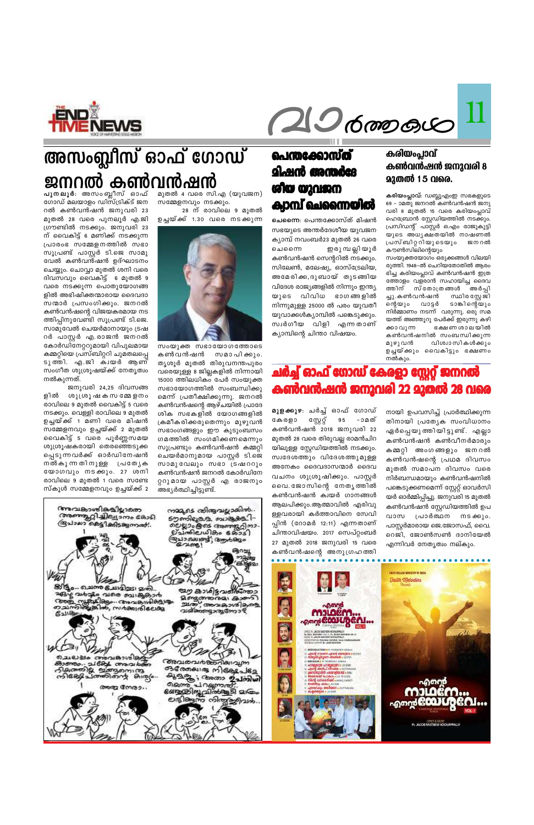

## **പുനലൂർ**: അസംബ്ലീസ് ഓഫ് **അസംബ്ലീസ് ഓഫ് ഗോഡ്** ജ**നറൽ കൺവൻഷൻ**

മുതൽ 4 വരെ സി.എ  $(\omega)$ വജന) സമ്മേളനവും നടക്കും.

28 ന് രാവിലെ 9 മുതൽ ഉച്ചയ്ക്ക് 1.30 വരെ നടക്കുന്ന



 $m_0$ യുക്ത സഭായോഗത്തോടെ കൺവൻഷൻ സമാപിക്കും. തൃശൂർ മുതൽ തിരുവനന്തപുരം വരെയുള്ള 8 ജില്ലകളിൽ നിന്നായി 15000 ത്തിലധികം പേർ സംയുക്ത സഭായോഗത്തിൽ സംബന്ധിക്കു മെന്ന് പ്രതീക്ഷിക്കുന്നു. ജനറൽ കൺവൻഷന്റെ ആഴ്ചയിൽ പ്രാദേ ശിക സഭകളിൽ യോഗങ്ങളിൽ (കമീകരിക്കരുതെന്നും മുഴുവൻ സഭാംഗങ്ങളും ഈ കുടുംബസം ഗമത്തിൽ സംഗമിക്കണമെന്നും സൂപ്രണ്ടും കൺവൻഷൻ കമ്മറ്റി ചെയർമാനുമായ പാസ്റ്റർ ടി.ജെ സാമുവേലും സഭാ ട്രഷററും കൺവൻഷൻ ജനറൽ കോർഡിനേ റ്ററുമായ പാസ്റ്റർ എ രാജനും അഭ്യർത്ഥിച്ചിട്ടുണ്ട്.

ഗോഡ് മലയാളം ഡിസ്ട്രിക്ട് ജന റൽ കൺവൻഷൻ ജനുവരി 23 മുതൽ 28 വരെ പുനലൂർ എ.ജി ്രഗൗണ്ടിൽ നടക്കും. ജനുവരി 23 ന് വൈകിട്ട് 6 മണിക്ക് നടക്കുന്ന (പാരംഭ സമ്മേളനത്തിൽ സഭാ സൂപ്രണ്ട് പാസ്റ്റർ ടി.ജെ സാമു വേൽ കൺവൻഷൻ ഉദ്ഘാടനം ചെയ്യും. ചൊവ്വാ മുതൽ ശനി വരെ ദിവസവും വൈകിട്ട് 6 മുതൽ 9 വരെ നടക്കുന്ന പൊതുയോഗങ്ങ ളിൽ അഭിഷിക്തന്മാരായ ദൈവദാ സന്മാർ പ്രസംഗിക്കും. ജനറൽ കൺവൻഷന്റെ വിജയകരമായ നട ത്തിപ്പിനുവേണ്ടി സൂപ്രണ്ട് ടി.ജെ. സാമുവേൽ ചെയർമാനായും ട്രഷ റർ പാസ്റ്റർ എ.രാജൻ ജനറൽ കോർഡിനേറ്ററുമായി വിപുലമായ കമ്മറ്റിയെ പ്രസ്ബിറ്ററി ചുമതലപ്പെ ടുത്തി. എ.ജി ക്വയർ ആണ് സംഗീത ശുശ്രൂഷയ്ക്ക് നേതൃത്വം നൽകുന്നത്.

**hm¿Ø-Iƒ**<sup>11</sup>

ജനുവരി 24,25 ദിവസങ്ങ ളിൽ ശുത്രൂഷകസമ്മേളനം രാവിലെ 9 മുതൽ വൈകിട്ട് 5 വരെ നടക്കും. വെള്ളി രാവിലെ 9 മുതൽ ഉച്ചയ്ക്ക് 1 മണി വരെ മിഷൻ സമ്മേളനവും ഉച്ചയ്ക്ക് 2 മുതൽ വൈകിട്ട് 5 വരെ പൂർണ്ണസമയ ശുശ്രൂഷകരായി തെരഞ്ഞെടുക<u>്ക</u> പ്പെടുന്നവർക്ക് ഓർഡിനേഷൻ നൽകുന്നതിനുളള **(പ**ത്യേക യോഗവും നടക്കും. 27 ശനി രാവിലെ 9 മുതൽ 1 വരെ സണ്ടേ സ്കൂൾ സമ്മേളനവും ഉച്ചയ്ക്ക് 2

### *<u>െന്തക്കോസ്ത്</u>* **ളിഷൻ അന്തർദേ iogo താവജ**ധ **ADM** ചെന്നൈയിൽ

**ചെന്നൈ**: പെന്തക്കോസ്ത് മിഷൻ സഭയുടെ അന്തർദേശീയ യുവജന ക്യാമ്പ് നവംബർ23 മുതൽ 26 വരെ ചെന്നെെ ഇരു മ്പ ല്ലിയൂർ കൺവൻഷൻ സെന്ററിൽ നടക്കും. സിലേൺ, മലേഷ്യ, ഓസ്ട്രേലിയ, അമേരിക്ക,ദുബായ് തുടങ്ങിയ വിദേശ രാജ്യങ്ങളിൽ നിന്നും ഇന്ത്യ യുടെ വിവിധ ഭാഗങ്ങളിൽ  $\Omega$ നിന്നുമുള്ള 25000 ൽ പരം യുവതീ യുവാക്കൾക്യാമ്പിൽ പങ്കെടുക്കും. സ്വർഗീയ വിളി എന്നതാണ് ക്യാമ്പിന്റെ ചിന്താ വിഷയം.

## <u>ചർച്ച് ഓഫ് ഗോഡ് കേരളാ സ്റ്റേറ്റ് ജനറൽ</u> **കൺവൻഷൻ ജനുവരി 22 മുതൽ 28 വരെ**

**മുളക്കുഴ**։ ചർച്ച് ഓഫ് ഗോഡ് കേരളാ സ്റ്റേറ്റ് 95 –ാമത് കൺവൻഷൻ 2018 ജനുവരി 22 മുതൽ 28 വരെ തിരുവല്ല രാമൻചിറ യിലുള്ള സ്റ്റേഡിയത്തിൽ നടക്കും. സ്വദേശത്തും വിദേശത്തുമുള്ള അനേകം ദൈവദാസന്മാർ ദൈവ വചനം ശുശ്രൂഷിക്കും. പാസ്റ്റർ പൈ. ജോസിന്റെ നേതൃത്തിൽ കൺവൻഷൻ ക്വയർ ഗാനങ്ങൾ



#### കരിയംപ്ലാവ് **കൺവൻഷൻ ജനുവരി 8**  $2200$  15 വരെ.

**കരിയംപ്ലാവ്**: ഡബ്ലൂഎംഇ സഭകളുടെ 69 - ാമതു ജനറൽ കൺവൻഷൻ ജനു വരി 8 മുതൽ 15 വരെ കരിയംപ്ലാവ് ഹെബ്രോൻ സ്റ്റേഡിയത്തിൽ നടക്കും. പ്രസിഡന്റ് പാസ്റ്റർ ഒ.എം രാജുകുട്ടി യുടെ അധ്യക്ഷതയിൽ നാഷണൽ പ്രസ്ബിറ്ററിയുടെയും ജനറൽ കൗൺസിലിന്റെയും

സംയുക്തയോഗം ഒരുക്കങ്ങൾ വിലയി രുത്തി. 1948–ൽ ചെറിയതോതിൽ ആരം ഭിച്ച കരിയംപ്ലാവ് കൺവൻഷൻ ഇത്ര ത്തോളം വളരാൻ സഹായിച്ച ദൈവ ത്തിന് സ്തോത്രങ്ങൾ അർപ്പി ച്ചു.കൺവൻഷൻ സ്ഥിരസ്റ്റേജി ന്റെയും വാട്ടർ ടാങ്കിന്റെയും നിർ്മ്മാണം നടന്ന് വരുന്നു. ഒരു സമ യത്ത് അഞ്ഞുറു പേർക്ക് ഇരുന്നു കഴി ക്കാവുന്ന ഭക്ഷണ ശാലയിൽ കൺവൻഷനിൽ സംബന്ധിക്കുന്ന<br>മുഴുവൻ വിശ്വാസികൾക്കും വിശ്വാസികൾക്കും ഉച്ചയ്ക്കും വൈകിട്ടും ഭക്ഷണം നൽകും.

നായി ഉപവസിച്ച് പ്രാർത്ഥിക്കുന്ന തിനായി പ്രത്യേക സംവിധാനം ഏർപ്പെയു ത്തിയിട്ടുണ്ട്. എല്ലാ കൺവൻഷൻ കൺവീനർമാരും കമ്മറ്റി അംഗങ്ങളും ജനറൽ കൺവൻഷന്റെ പ്രഥമ ദിവസം മുതൽ സമാപന ദിവസം വരെ നിർബന്ധമായും കൺവൻഷനിൽ പങ്കെടുക്കണമെന്ന് സ്റ്റേറ്റ് ഓവർസി യർ ഓർമ്മിപ്പിച്ചു. ജനുവരി 15 മുതൽ കൺവൻഷൻ സ്റ്റേഡിയത്തിൽ ഉപ വാസ പ്രാർത്ഥന നടക്കും. പാസ്റ്റർമാരായ ജെ.ജോസഫ്, വൈ. റെജി, ജോൺസൺ ദാനിയേൽ എന്നിവർ നേതൃത്വം നല്കും.



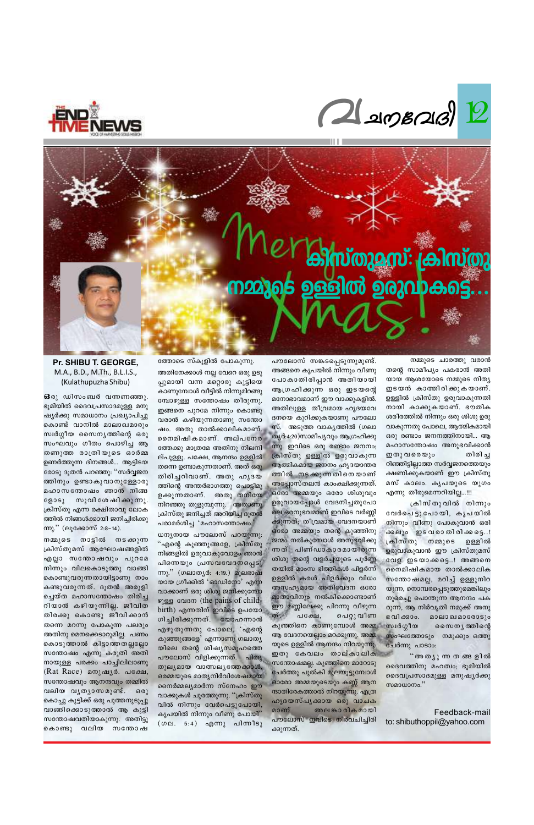



## കിസ്തുമസ്: ക്രിസ്തു നമ്മുടെ ഉള്ളിൽ ഉരുവാകട്ടെ..

നമ്മുടെ ചാരത്തു വരാൻ തന്റെ സാമീപ്യം പകരാൻ അതി യായ ആശയോടെ നമ്മുടെ നിത്യ ഇടയൻ കാത്തിരിക്കുകയാണ്. ഉള്ളിൽ ക്രിസ്തു ഉരുവാകുന്നതി നായി കാക്കുകയാണ്. ഭൗതിക ശരീരത്തിൽ നിന്നും ഒരു ശിശു ഉരു വാകുന്നതു പോലെ, ആത്മികമായി ഒരു രണ്ടാം ജനനത്തിനായി... ആ മഹാസന്തോഷം അനുഭവിക്കാൻ ഇതു വരെയും തിരി ച്ച റിഞ്ഞിട്ടില്ലാത്ത സർവ്വജനത്തെയും ക്ഷണിക്കുകയാണ് ഈ ക്രിസ്തു മസ് കാലം. കൃപയുടെ യുഗം എന്നു തീരുമെന്നറിയില്ല…!!!

ക്രിസ്തുവിൽ നിന്നും വേർപെട്ടു പോയി, കൃപയിൽ നിന്നും വീണു പോകുവാൻ ഒരി ക്കലും ഇടവരാതിരിക്കട്ടെ..! ക്രിസ്തു നമ്മുടെ ഉള്ളിൽ ഉരുവാകുവാൻ ഈ ക്രിസ്തുമസ് വേള ഇടയാക്കട്ടെ..! അങ്ങനെ നൈമിഷികമായ താൽക്കാലിക സതോഷമല്ല, മറിച്ച് ഉള്ളുനിറ യുന്ന, നൊമ്പരപ്പെടുത്തുമെങ്കിലും മാതാവിനും നൽകിക്കൊണ്ടാണ് നുരെച്ചു പൊന്തുന്ന ആനന്ദം പക ഈ മണ്ണിലേക്കു പിറന്നു വീഴുന്ന രുന്ന, ആ നിർവൃതി നമുക്ക അനു പെറ്റു വീണ ഭവിക്കാം. മാലാഖമാരോടും കുഞ്ഞിനെ കാണുമ്പോൾ അമ്മ സ്വർഗ്ഗീയ സൈന്യത്തിന്റെ ആ വേദനയെല്ലാം മറക്കുന്നു. അമ്മ സംഘത്തോടും നമുക്കും ഒത്തു യുടെ ഉള്ളിൽ ആനന്ദം നിറയുന്നു. ചേർന്നു പാടാം: ഇതു കേവലം താല്കാലിക ് അ തൃു ന്ന ത ങ്ങളിൽ സന്തോഷമല്ല. കുഞ്ഞിനെ മാറോടു ദൈവത്തിനു മഹത്വം; ഭൂമിയിൽ ചേർത്തു പുൽകി മുലയൂട്ടുമ്പോൾ ദൈവപ്രസാദമുള്ള മനുഷ്യർക്കു ഓരോ അമ്മയുടെയും കണ്ണ് ആന സമാധാനം."

പൗലോസ് സങ്കടപ്പെടുന്നുമുണ്ട്. അങ്ങനെ കൃപയിൽ നിന്നും വീണു പോകാതിരിപ്പാൻ അതിയായി ആഗ്രഹിക്കുന്ന ഒരു ഇടയന്റെ മനോഭാവമാണ് ഈ വാക്കുകളിൽ. അതിലുള്ള തീവ്രമായ ഹൃദയവേ ദനയെ കുറിക്കുകയാണു പൗലോ സ്. അടുത്ത വാകൃത്തിൽ (ഗലാ തൃർ:4:20)സാമീപൃവും ആഗ്രഹിക്കു ന്നു. ഇവിടെ ഒരു രണ്ടാം ജനനം; ക്രിസ്തു ഉള്ളിൽ ഉരുവാകുന്ന ആത്മികമായ ജനനം ഹൃദയാന്തര ത്തിൽ നടക്കുന്നതിനെയാണ് അപ്പോസ്തലൻ കാംക്ഷിക്കുന്നത്. ഒരോ അമ്മയും ഒരോ ശിശുവും ഉരുവായപ്പോൾ വേദനിച്ചതുപോ ലെ ഒരനുഭവമാണ് ഇവിടെ വർണ്ണി ക്കുന്നത്; തീവ്രമായ വേദനയാണ് ഒരോ അമ്മയും തന്റെ കുഞ്ഞിനു ജന്മം നൽകുമ്പോൾ അനുഭവിക്കു ന്നത്. പിണ്ഡാകാരമായിരുന്ന ശിശു തന്റെ വളർച്ചയുടെ പൂർണ്ണ തയിൽ മാംസ ഭിത്തികൾ പിളർന്ന് ഉള്ളിൽ കരൾ പിളർക്കും വിധം അസഹൃമായ അതിവേദന ഒരോ

ത്തോടെ സ്കൂളിൽ പോകുന്നു. അതിനേക്കാൾ നല്ല വേറെ ഒരു ഉടു പ്പുമായി വന്ന മറ്റൊരു കുട്ടിയെ കാണുമ്പോൾ വീട്ടിൽ നിന്നുമിറങ്ങു മ്പോഴുള്ള സന്തോഷം തീരുന്നു. ഇങ്ങനെ പുറമേ നിന്നും കൊണ്ടു വരാൻ കഴിയുന്നതാണു സന്തോ ഷം. അതു താൽക്കാലികമാണ്. നൈമിഷികമാണ്. അല്പനേര ത്തേക്കു മാത്രമേ അതിനു നിലനി ല്പുള്ളൂ. പക്ഷേ, ആനന്ദം ഉള്ളിൽ തന്നെ ഉണ്ടാകുന്നതാണ്. അത് ഒരു തിരിച്ചറിവാണ്. അതു ഹൃദയ ത്തിന്റെ അന്തർഭാഗത്തു പൊട്ടിമു ളക്കുന്നതാണ്. അതു തനിയേ നിറഞ്ഞു തുളുമ്പുന്നു. അതാണു ക്രിസ്തു ജനിച്ചത് അറിയിച്ച ദൂതൻ പരാമർശിച്ച 'മഹാസന്തോഷം.'

ധനൃനായ പൗലോസ് പറയുന്നു. ് എന്റെ കുഞ്ഞുങ്ങളേ, ക്രിസ്തു നിങ്ങളിൽ ഉരുവാകുവോളം ഞാൻ പിന്നെയും പ്രസവവേദനപ്പെടു ന്നു." (ഗലാതൃർ: 4:19.) മൂലഭാഷ യായ ഗ്രീക്കിൽ 'ഓഡിനോ' എന്ന വാക്കാണ് ഒരു ശിശു ജനിക്കുമ്പോ ഴുള്ള വേദന (the pains of child-

Pr. SHIBU T. GEORGE, M.A., B.D., M.Th., B.L.I.S., (Kulathupuzha Shibu)

63 രു ഡിസംബർ വന്നണഞ്ഞു. ഭൂമിയിൽ ദൈവപ്രസാദമുള്ള മനു ഷ്യർക്കു സമാധാനം പ്രഖ്യാപിച്ചു കൊണ്ട് വാനിൽ മാലാഖമാരും സ്വർഗ്ഗീയ സൈന്യത്തിന്റെ ഒരു സംഘവും ഗീതം പൊഴിച്ച ആ തണുത്ത രാത്രിയുടെ ഓർമ്മ ഉണർത്തുന്ന ദിനങ്ങൾ... ആട്ടിടയ രോടു ദൂതൻ പറഞ്ഞു: "സർവ്വജന ത്തിനും ഉണ്ടാകുവാനുള്ളോരു മഹാസന്തോഷം ഞാൻ നിങ്ങ സുവി ശേ ഷി ക്കു ന്നു. ളോടു ക്രിസ്തു എന്ന രക്ഷിതാവു ലോക ത്തിൽ നിങ്ങൾക്കായി ജനിച്ചിരിക്കു ന്നു." (ലൂക്കോസ് 2:8-14).

നമ്മുടെ നാട്ടിൽ നടക്കുന്ന ക്രിസ്തുമസ് ആഘോഷങ്ങളിൽ എല്ലാ സന്തോഷവും പുറമേ നിന്നും വിലകൊടുത്തു വാങ്ങി കൊണ്ടുവരുന്നതായിട്ടാണു നാം കണ്ടുവരുന്നത്. ദൂതൻ അരുളി ച്ചെയ്ത മഹാസന്തോഷം തിരിച്ച റിയാൻ കഴിയുന്നില്ല. ജീവിത തിരക്കു കൊണ്ടു ജീവിക്കാൻ തന്നെ മറന്നു പോകുന്ന പലരും അതിനു മെനക്കെടാറുമില്ല. പണം കൊടുത്താൽ കിട്ടാത്തതല്ലല്ലോ സന്തോഷം എന്നു കരുതി അതി നായുള്ള പരക്കം പാച്ചിലിലാണു (Rat Race) മനുഷൃർ. പക്ഷേ, സന്തോഷവും ആനന്ദവും തമ്മിൽ വലിയ വൃത്യാസമുണ്ട്. ഒരു കൊച്ചു കുട്ടിക്ക് ഒരു പുത്തനുടുപ്പു വാങ്ങിക്കൊടുത്താൽ ആ കുട്ടി സന്തോഷവതിയാകുന്നു. അതിട്ടു കൊണ്ടു വലിയ സന്തോഷ

Feedback-mail to: shibuthoppil@yahoo.com

birth) എന്നതിന് ഇവിടെ ഉപയോ ത്. പക്ഷേ, ഗിച്ചിരിക്കുന്നത്. യോഹന്നാൻ എഴുതുന്നതു പോലെ, 'എന്റെ കുഞ്ഞുങ്ങളേ' എന്നാണു ഗലാത്യ യിലെ തന്റെ ശിഷ്യസമൂഹത്തെ പൗലോസ് വിളിക്കുന്നത്. പിതൃ തുല്യമായ വാത്സല്യത്തേക്കാൾ, ഒരമ്മയുടെ മാതൃനിർവിശേഷമായ നൈർമ്മല്യമാർന്ന സ്നേഹം ഈ ന്ദാതിരേകത്താൽ നിറയുന്നു. എത്ര വാക്കുകൾ ചുരത്തുന്നു. ''ക്രിസ്തു ഹൃദയസ്പൃക്കായ ഒരു വാചക വിൽ നിന്നും വേർപെട്ടുപോയി, അല കാരിക മായി മാണ് കൃപയിൽ നിന്നും വീണു പോയി" പൗലോസ് ഇവിടെ നിർവചിച്ചിരി (ഗല. 5:4) എന്നു പിന്നീടു ക്കുന്നത്.